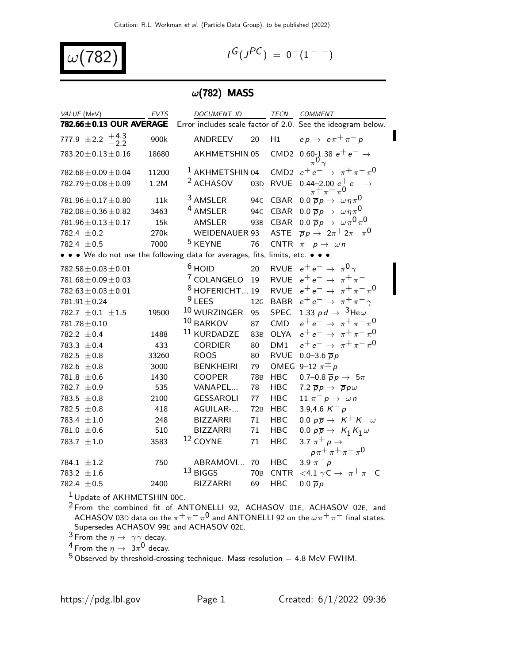$$
\omega(782) \hspace{3.1em}
$$

$$
I^G(J^{PC}) = 0^-(1^{--})
$$

## $\omega(782)$  MASS

| VALUE (MeV)                | <b>EVTS</b> | DOCUMENT ID<br><b>TECN</b><br>COMMENT                                                                      |
|----------------------------|-------------|------------------------------------------------------------------------------------------------------------|
| 782.66±0.13 OUR AVERAGE    |             | Error includes scale factor of 2.0. See the ideogram below.                                                |
| 777.9 $\pm 2.2 + 4.3$      | 900k        | $ep \rightarrow e \pi^+ \pi^- p$<br>H1<br>ANDREEV<br>20                                                    |
| $783.20 \pm 0.13 \pm 0.16$ | 18680       | CMD2 0.60-1.38 $e^+e^- \rightarrow$<br>AKHMETSHIN 05<br>$\pi^{0}$                                          |
| $782.68 \pm 0.09 \pm 0.04$ | 11200       | CMD2 $e^+e^- \rightarrow \pi^+\pi^-\pi^0$<br><sup>1</sup> AKHMETSHIN 04                                    |
| $782.79 \pm 0.08 \pm 0.09$ | 1.2M        | <sup>2</sup> ACHASOV<br>$0.44 - 2.00 e^+ e^- \rightarrow$<br>03D RVUE                                      |
| $781.96 \pm 0.17 \pm 0.80$ | 11k         | <sup>3</sup> AMSLER<br>94C CBAR 0.0 $\overline{p}p \rightarrow \omega \eta \pi^0$                          |
| $782.08 \pm 0.36 \pm 0.82$ | 3463        | <sup>4</sup> AMSLER<br>94C CBAR 0.0 $\overline{p}p \rightarrow \omega \eta \pi^0$                          |
| $781.96 \pm 0.13 \pm 0.17$ | 15k         | 93B CBAR 0.0 $\overline{p}p \rightarrow \omega \pi^0 \pi^0$<br>AMSLER                                      |
| 782.4 $\pm$ 0.2            | 270k        | ASTE $\overline{p}p \rightarrow 2\pi^+ 2\pi^- \pi^0$<br><b>WEIDENAUER 93</b>                               |
| 782.4 $\pm$ 0.5            | 7000        | <sup>5</sup> KEYNE<br>CNTR $\pi^- p \to \omega n$<br>76                                                    |
|                            |             | • • • We do not use the following data for averages, fits, limits, etc. • • •                              |
| $782.58 \pm 0.03 \pm 0.01$ |             | $6$ HOID<br>RVUE $e^+e^- \rightarrow \pi^0 \gamma$<br>20                                                   |
| $781.68 \pm 0.09 \pm 0.03$ |             | <sup>7</sup> COLANGELO 19<br>$e^+e^- \rightarrow \pi^+\pi^-$<br><b>RVUE</b>                                |
| $782.63 \pm 0.03 \pm 0.01$ |             | <sup>8</sup> HOFERICHT 19<br>$e^+e^- \rightarrow \pi^+\pi^-\pi^0$<br><b>RVUE</b>                           |
| $781.91 \pm 0.24$          |             | <b>LEES</b><br>12G BABR $e^+e^- \rightarrow \pi^+\pi^-\gamma$                                              |
| 782.7 $\pm 0.1 \pm 1.5$    | 19500       | $^{10}$ WURZINGER<br>1.33 pd $\rightarrow$ <sup>3</sup> He $\omega$<br>95<br><b>SPEC</b>                   |
| $781.78 \pm 0.10$          |             | $e^+e^- \to \pi^+\pi^-\pi^0$<br>10 BARKOV<br>CMD<br>87                                                     |
| 782.2 $\pm$ 0.4            | 1488        | $e^+e^- \to \pi^+\pi^-\pi^0$<br><sup>11</sup> KURDADZE<br>OLYA<br>83 <sub>B</sub>                          |
| 783.3 $\pm$ 0.4            | 433         | $e^+e^- \to \pi^+\pi^-\pi^0$<br>DM1<br><b>CORDIER</b><br>80                                                |
| 782.5 $\pm$ 0.8            | 33260       | <b>RVUE</b><br>0.0–3.6 $\bar{p}p$<br><b>ROOS</b><br>80                                                     |
| 782.6 $\pm$ 0.8            | 3000        | OMEG 9-12 $\pi^{\pm}$ p<br><b>BENKHEIRI</b><br>79                                                          |
| $781.8 \pm 0.6$            | 1430        | 0.7-0.8 $\overline{p}p \rightarrow 5\pi$<br><b>COOPER</b><br><b>78B</b><br><b>HBC</b>                      |
| 782.7 $\pm$ 0.9            | 535         | VANAPEL<br>78<br>7.2 $\overline{p}p \rightarrow \overline{p}p\omega$<br><b>HBC</b>                         |
| 783.5 $\pm 0.8$            | 2100        | <b>GESSAROLI</b><br>11 $\pi^- p \to \omega n$<br>77<br>HBC                                                 |
| 782.5 $\pm$ 0.8            | 418         | AGUILAR-<br>3.9,4.6 $K^- p$<br>72B<br><b>HBC</b>                                                           |
| 783.4 $\pm 1.0$            | 248         | 0.0 $p\overline{p} \rightarrow K^+ K^- \omega$<br><b>BIZZARRI</b><br><b>HBC</b><br>71                      |
| 781.0 $\pm$ 0.6            | 510         | 0.0 $p\overline{p} \rightarrow K_1 K_1 \omega$<br><b>HBC</b><br><b>BIZZARRI</b><br>71                      |
| 783.7 $\pm 1.0$            | 3583        | 12 COYNE<br>3.7 $\pi^+ p \rightarrow$<br>71<br><b>HBC</b><br>$p\pi^{+}\pi^{+}\pi^{-}\pi^{0}$               |
| 784.1 $\pm 1.2$            | 750         | ABRAMOVI 70<br><b>HBC</b><br>3.9 $\pi^- p$                                                                 |
| 783.2 $\pm 1.6$            |             | $13$ BIGGS<br>$<$ 4.1 $\gamma$ C $\rightarrow \pi$ <sup>+</sup> $\pi$ <sup>-</sup> C<br>CNTR<br><b>70B</b> |
| 782.4 $\pm$ 0.5            | 2400        | <b>BIZZARRI</b><br>69<br><b>HBC</b><br>$0.0 \overline{p}p$                                                 |

Update of AKHMETSHIN 00 $c$ .

<sup>2</sup> From the combined fit of ANTONELLI 92, ACHASOV 01E, ACHASOV 02E, and ACHASOV 03D data on the  $\pi^+\pi^-\pi^0$  and ANTONELLI 92 on the  $\omega\pi^+\pi^-$  final states. Supersedes ACHASOV 99E and ACHASOV 02E.

<sup>3</sup> From the  $\eta \rightarrow \gamma \gamma$  decay.

<sup>4</sup> From the  $\eta \to 3\pi^0$  decay.

Observed by threshold-crossing technique. Mass resolution = 4.8 MeV FWHM.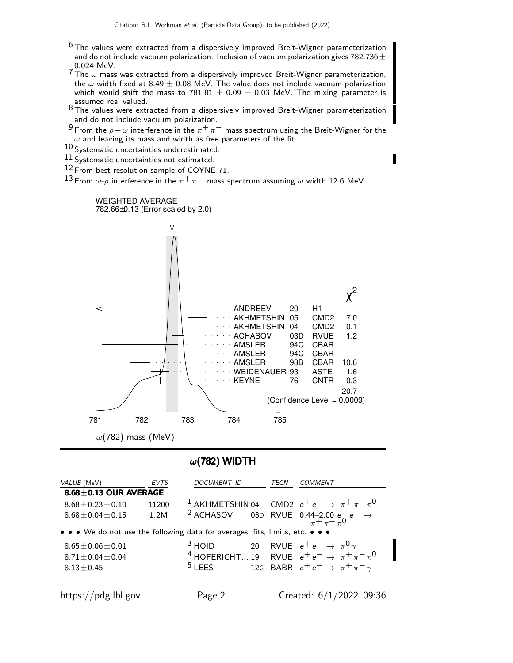- $6$  The values were extracted from a dispersively improved Breit-Wigner parameterization and do not include vacuum polarization. Inclusion of vacuum polarization gives  $782.736 \pm$
- $\sim$  0.024 MeV.<br> $^7$ The  $\omega$  mass was extracted from a dispersively improved Breit-Wigner parameterization, the  $\omega$  width fixed at 8.49  $\pm$  0.08 MeV. The value does not include vacuum polarization which would shift the mass to 781.81  $\pm$  0.09  $\pm$  0.03 MeV. The mixing parameter is
- assumed real valued.<br><sup>8</sup> The values were extracted from a dispersively improved Breit-Wigner parameterization and do not include vacuum polarization.

9 From the  $\rho-\omega$  interference in the  $\pi^+\pi^-$  mass spectrum using the Breit-Wigner for the  $\omega$  and leaving its mass and width as free parameters of the fit.

10 Systematic uncertainties underestimated.

11 Systematic uncertainties not estimated.

12 From best-resolution sample of COYNE 71.

13 From  $\omega$ - $\rho$  interference in the  $\pi^+\pi^-$  mass spectrum assuming  $\omega$  width 12.6 MeV.



### $\omega(782)$  WIDTH

| <i>VALUE</i> (MeV)                                                            | EVTS  | DOCUMENT ID | <i>TECN</i> | COMMENT                                                                                                                              |
|-------------------------------------------------------------------------------|-------|-------------|-------------|--------------------------------------------------------------------------------------------------------------------------------------|
| $8.68 \pm 0.13$ OUR AVERAGE                                                   |       |             |             |                                                                                                                                      |
| $8.68 \pm 0.23 \pm 0.10$                                                      | 11200 |             |             | <sup>1</sup> AKHMETSHIN 04 CMD2 $e^+e^- \rightarrow \pi^+\pi^-\pi^0$                                                                 |
| $8.68 \pm 0.04 \pm 0.15$                                                      | 1.2M  |             |             | <sup>2</sup> ACHASOV 03D RVUE 0.44-2.00 $e^+e^- \rightarrow$<br>$\pi^+\pi^-\pi^0$                                                    |
| • • • We do not use the following data for averages, fits, limits, etc. • • • |       |             |             |                                                                                                                                      |
| $8.65 \pm 0.06 \pm 0.01$                                                      |       |             |             | <sup>3</sup> HOID 20 RVUE $e^+e^- \rightarrow \pi^0 \gamma$<br><sup>4</sup> HOFERICHT 19 RVUE $e^+e^- \rightarrow \pi^+ \pi^- \pi^0$ |
| $8.71 + 0.04 + 0.04$                                                          |       |             |             |                                                                                                                                      |
| $8.13 \pm 0.45$                                                               |       | $5$ LEES    |             | 12G BABR $e^+e^- \rightarrow \pi^+\pi^-\gamma$                                                                                       |
|                                                                               |       |             |             |                                                                                                                                      |
|                                                                               |       |             |             |                                                                                                                                      |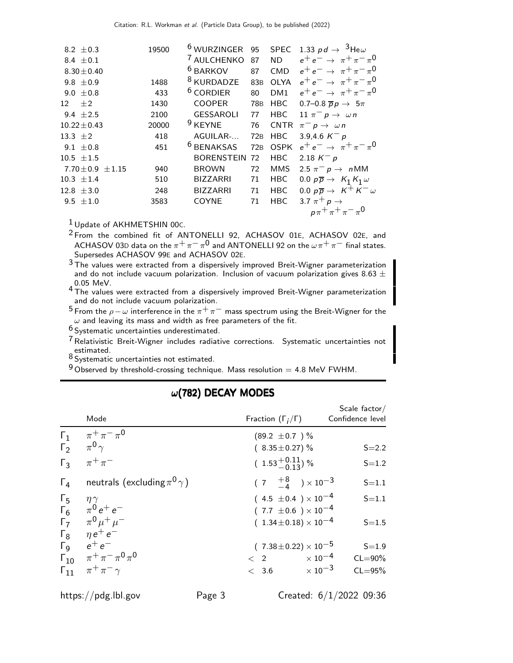| 8.2 $\pm$ 0.3           | 19500 | <sup>6</sup> WURZINGER | 95              |                 | SPEC 1.33 $pd \rightarrow 3$ He $\omega$       |
|-------------------------|-------|------------------------|-----------------|-----------------|------------------------------------------------|
| 8.4 $\pm 0.1$           |       | <sup>7</sup> AULCHENKO | 87              | <b>ND</b>       | $e^+e^- \rightarrow \pi^+\pi^-\pi^0$           |
| $8.30 \pm 0.40$         |       | <sup>6</sup> BARKOV    | 87              | <b>CMD</b>      | $e^+e^- \rightarrow \pi^+\pi^-\pi^0$           |
| 9.8 $\pm 0.9$           | 1488  | <sup>8</sup> KURDADZE  | 83 <sub>B</sub> | <b>OLYA</b>     | $e^+e^- \rightarrow \pi^+\pi^-\pi^0$           |
| 9.0 $\pm$ 0.8           | 433   | $6$ CORDIER            | 80              | DM <sub>1</sub> | $e^+e^- \rightarrow \pi^+\pi^-\pi^0$           |
| $12 + 2$                | 1430  | <b>COOPER</b>          | 78 <sub>B</sub> | <b>HBC</b>      | 0.7-0.8 $\overline{p}p \rightarrow 5\pi$       |
| 9.4 $\pm 2.5$           | 2100  | <b>GESSAROLI</b>       | 77              | <b>HBC</b>      | 11 $\pi^- p \rightarrow \omega n$              |
| $10.22 \pm 0.43$        | 20000 | <sup>9</sup> KEYNE     | 76              | <b>CNTR</b>     | $\pi^ p \rightarrow \omega n$                  |
| 13.3 $\pm 2$            | 418   | AGUILAR-               | 72B             | <b>HBC</b>      | 3.9,4.6 $K^- p$                                |
| 9.1 $\pm$ 0.8           | 451   | <sup>6</sup> BENAKSAS  | 72B             | <b>OSPK</b>     | $e^+e^- \to \pi^+\pi^-\pi^0$                   |
| $10.5 \pm 1.5$          |       | <b>BORENSTEIN</b>      | 72              | <b>HBC</b>      | 2.18 $K^- p$                                   |
| $7.70 \pm 0.9 \pm 1.15$ | 940   | <b>BROWN</b>           | 72              | <b>MMS</b>      | 2.5 $\pi^ p \rightarrow n$ MM                  |
| $10.3 \pm 1.4$          | 510   | <b>BIZZARRI</b>        | 71              | HBC             | 0.0 $p\overline{p} \rightarrow K_1 K_1 \omega$ |
| $12.8 \pm 3.0$          | 248   | <b>BIZZARRI</b>        | 71              | <b>HBC</b>      | 0.0 $p\overline{p} \rightarrow K^+ K^- \omega$ |
| 9.5 $\pm 1.0$           | 3583  | COYNE                  | 71              | <b>HBC</b>      | 3.7 $\pi^+$ $p \rightarrow$                    |
|                         |       |                        |                 |                 | $p\pi^{+}\pi^{+}\pi^{-}\pi^{0}$                |

1 Update of AKHMETSHIN 00C.

2 From the combined fit of ANTONELLI 92, ACHASOV 01E, ACHASOV 02E, and ACHASOV 03D data on the  $\pi^+\pi^-\pi^0$  and ANTONELLI 92 on the  $\omega\pi^+\pi^-$  final states. Supersedes ACHASOV 99E and ACHASOV 02E.

 $3$  The values were extracted from a dispersively improved Breit-Wigner parameterization and do not include vacuum polarization. Inclusion of vacuum polarization gives 8.63  $\pm$ 0.05 MeV.

<sup>4</sup> The values were extracted from a dispersively improved Breit-Wigner parameterization and do not include vacuum polarization.

<sup>5</sup> From the  $\rho-\omega$  interference in the  $\pi^+\pi^-$  mass spectrum using the Breit-Wigner for the  $\omega$  and leaving its mass and width as free parameters of the fit.

6 Systematic uncertainties underestimated.

7Relativistic Breit-Wigner includes radiative corrections. Systematic uncertainties not estimated.

8 Systematic uncertainties not estimated.

 $9$  Observed by threshold-crossing technique. Mass resolution  $= 4.8$  MeV FWHM.

|            | Mode                                            | Fraction $(\Gamma_i/\Gamma)$        | Scale factor/<br>Confidence level |
|------------|-------------------------------------------------|-------------------------------------|-----------------------------------|
|            | $\Gamma_1 \qquad \pi^+ \pi^- \pi^0$             | $(89.2 \pm 0.7)$ %                  |                                   |
|            | $\Gamma_2$ $\pi^0 \gamma$                       | $(8.35 \pm 0.27)\%$                 | $S = 2.2$                         |
|            | $\Gamma_3$ $\pi^+ \pi^-$                        | $(1.53^{+0.11}_{-0.13})$ %          | $S = 1.2$                         |
|            | $\Gamma_4$ neutrals (excluding $\pi^0 \gamma$ ) | $(7 \tfrac{+8}{-4}) \times 10^{-3}$ | $S = 1.1$                         |
| $\Gamma_5$ | $\eta \gamma$                                   | $(4.5 \pm 0.4) \times 10^{-4}$      | $S = 1.1$                         |
|            | $\Gamma_6$ $\pi^0 e^+ e^-$                      | $(7.7 \pm 0.6) \times 10^{-4}$      |                                   |
|            | $\Gamma_7$ $\pi^0 \mu^+ \mu^-$                  | $(1.34 \pm 0.18) \times 10^{-4}$    | $S = 1.5$                         |
|            | $\Gamma_8$ $\eta e^+ e^-$                       |                                     |                                   |
|            | $\Gamma_9$ $e^+e^-$                             | $(7.38 \pm 0.22) \times 10^{-5}$    | $S = 1.9$                         |
|            | $\Gamma_{10}$ $\pi^{+}\pi^{-}\pi^{0}\pi^{0}$    | $< 2 \times 10^{-4}$                | $CL = 90\%$                       |
|            | $\Gamma_{11}$ $\pi^{+}\pi^{-}\gamma$            | $< 3.6 \times 10^{-3}$              | $CL = 95%$                        |

## $\omega(782)$  DECAY MODES

 $\mathbf{S}$  factor factor  $\mathbf{S}$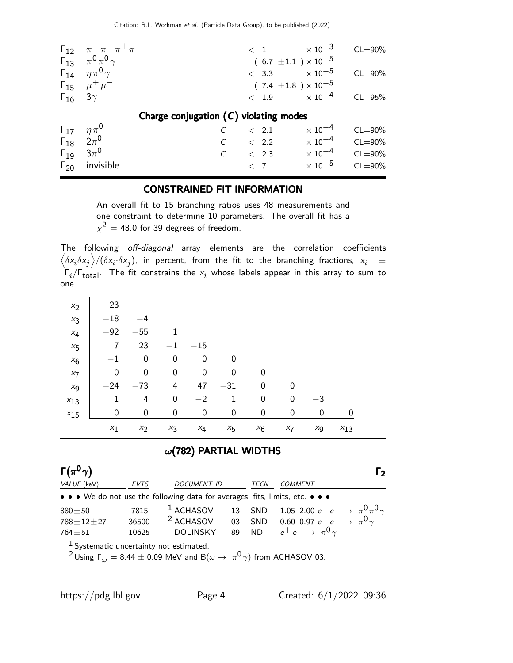|                            | $\Gamma_{12}$ $\pi^{+}\pi^{-}\pi^{+}\pi^{-}$ |                                          |                         | $< 1$ $\times 10^{-3}$         | $CL = 90\%$ |
|----------------------------|----------------------------------------------|------------------------------------------|-------------------------|--------------------------------|-------------|
|                            | $\Gamma_{13}$ $\pi^{0}\pi^{0}\gamma$         |                                          |                         | $(6.7 \pm 1.1) \times 10^{-5}$ |             |
|                            | $\Gamma_{14}$ $\eta \pi^0 \gamma$            |                                          |                         | $< 3.3 \times 10^{-5}$         | $CL = 90\%$ |
|                            | $\Gamma_{15}$ $\mu^+ \mu^-$                  |                                          |                         | $(7.4 \pm 1.8) \times 10^{-5}$ |             |
|                            | $\Gamma_{16}$ 3 $\gamma$                     |                                          |                         | $< 1.9 \times 10^{-4}$         | $CL = 95%$  |
|                            |                                              | Charge conjugation $(C)$ violating modes |                         |                                |             |
| $\Gamma_{17}$ $\eta \pi^0$ |                                              |                                          | $\langle$ 2.1           | $\times$ 10 $^{-4}$            |             |
|                            |                                              |                                          |                         |                                | $CL = 90\%$ |
|                            | $\Gamma_{18}$ $2\pi^0$                       |                                          | $C \quad < 2.2$         | $\times$ 10 $^{-4}$            | $CL = 90\%$ |
|                            | $\Gamma_{19}$ $3\pi^{0}$                     |                                          | $C \t 2.3 \t x 10^{-4}$ |                                | $CL = 90\%$ |
|                            | $\Gamma_{20}$ invisible                      |                                          | < 7                     | $\times$ 10 $^{-5}$            | $CL = 90\%$ |

### CONSTRAINED FIT INFORMATION

An overall fit to 15 branching ratios uses 48 measurements and one constraint to determine 10 parameters. The overall fit has a  $\chi^2=$  48.0 for 39 degrees of freedom.

The following off-diagonal array elements are the correlation coefficients  $\left<\delta x_i\delta x_j\right>$ / $(\delta x_i\cdot\delta x_j)$ , in percent, from the fit to the branching fractions,  $x_i$   $\;\equiv$  $\mathsf{\Gamma}_i/\mathsf{\Gamma}_{\mathsf{total}}$ . The fit constrains the  $\mathsf{x}_i$  whose labels appear in this array to sum to one.

| $x_2$    | 23               |                  |                  |       |         |       |       |      |          |  |
|----------|------------------|------------------|------------------|-------|---------|-------|-------|------|----------|--|
| $x_3$    | $-18$            | -4               |                  |       |         |       |       |      |          |  |
| $x_4$    | $-92$            | $-55$            |                  |       |         |       |       |      |          |  |
| $x_{5}$  | 7                | 23               | $-1$             | $-15$ |         |       |       |      |          |  |
| $x_6$    | $-1$             | $\mathbf 0$      | 0                | 0     | 0       |       |       |      |          |  |
| $x_7$    | $\boldsymbol{0}$ | $\boldsymbol{0}$ | 0                | 0     | 0       | 0     |       |      |          |  |
| $x_{9}$  | $-24$            | $-73$            | 4                | 47    | $-31$   | 0     | 0     |      |          |  |
| $x_{13}$ | 1                | 4                | $\boldsymbol{0}$ | $-2$  | 1       | 0     | 0     | $-3$ |          |  |
| $x_{15}$ | 0                | 0                | 0                | 0     | 0       | 0     | 0     | 0    |          |  |
|          | $x_1$            | $x_2$            | $x_3$            | $x_4$ | $x_{5}$ | $x_6$ | $x_7$ | xg   | $x_{13}$ |  |

### $\omega$ (782) PARTIAL WIDTHS

| $\Gamma(\pi^0\gamma)$ |                                           |                                                                                                                |    |      | נ I                                                      |  |  |  |  |
|-----------------------|-------------------------------------------|----------------------------------------------------------------------------------------------------------------|----|------|----------------------------------------------------------|--|--|--|--|
| VALUE (keV)           | <b>EVTS</b>                               | DOCUMENT ID                                                                                                    |    | TECN | COMMENT                                                  |  |  |  |  |
|                       |                                           | • • • We do not use the following data for averages, fits, limits, etc. • • •                                  |    |      |                                                          |  |  |  |  |
| $880 + 50$            | 7815                                      | $1$ ACHASOV                                                                                                    |    |      | 13 SND 1.05-2.00 $e^+e^- \rightarrow \pi^0 \pi^0 \gamma$ |  |  |  |  |
| $788 + 12 + 27$       |                                           | 36500 <sup>2</sup> ACHASOV                                                                                     | 03 |      | SND 0.60–0.97 $e^+e^- \rightarrow \pi^0 \gamma$          |  |  |  |  |
| $764 + 51$            | 10625                                     | <b>DOLINSKY</b>                                                                                                | 89 |      | ND $e^+e^- \rightarrow \pi^0 \gamma$                     |  |  |  |  |
|                       | $1$ Systematic uncertainty not estimated. |                                                                                                                |    |      |                                                          |  |  |  |  |
|                       |                                           | <sup>2</sup> Using $\Gamma_{\omega}$ = 8.44 $\pm$ 0.09 MeV and B( $\omega \to \pi^0 \gamma$ ) from ACHASOV 03. |    |      |                                                          |  |  |  |  |
|                       |                                           |                                                                                                                |    |      |                                                          |  |  |  |  |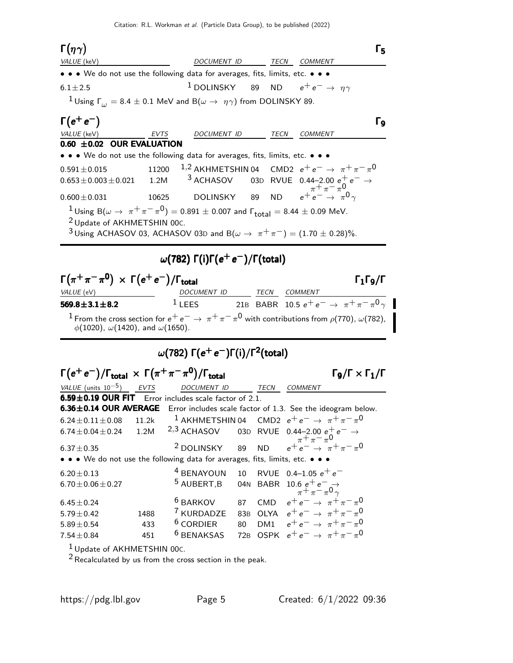Γ $(\eta \gamma)$  $(\eta \gamma)$   $\Gamma_5$ Γ $(ηγ)$  Γ<sub>5</sub>  $\eta\gamma)$ VALUE (keV) **DOCUMENT ID** TECN COMMENT • • • We do not use the following data for averages, fits, limits, etc. •  $6.1 \pm 2.5$ <sup>1</sup> DOLINSKY 89 ND  $e^+e^- \rightarrow \eta \gamma$  $1$  Using  $\Gamma_{\omega} = 8.4 \pm 0.1$  MeV and  $\textsf{B}(\omega\to\eta\gamma)$  from DOLINSKY 89.  $Γ(e^+e^-)$  $(e^+e^-)$  Γ<sub>9</sub>  $\Gamma(e^+e^-)$  Γρ  $(e^+e^-)$ VALUE (keV) **EVTS** DOCUMENT ID TECN COMMENT  $0.60 \pm 0.02$  OUR EVALUATION • • • We do not use the following data for averages, fits, limits, etc. • • •  $0.591 \pm 0.015$  11200  $1,2$  AKHMETSHIN 04 CMD2  $e^+e^- \rightarrow \pi^+ \pi^- \pi^0$  $0.653 \pm 0.003 \pm 0.021$  1.2M <sup>3</sup> ACHASOV 03D RVUE 0.44–2.00  $e^{+}$  $-\pi + \pi - \pi$ <sup>0</sup> 0.600 $\pm$ 0.031 10625 DOLINSKY 89 ND  $e^{+}e^{-} \rightarrow \pi^{0} \gamma$  $\frac{1}{2}$ Using B( $\omega \to \pi^+ \pi^- \pi^0$ ) = 0.891  $\pm$  0.007 and  $\Gamma_{\text{total}}$  = 8.44  $\pm$  0.09 MeV. 2 Update of AKHMETSHIN 00C. <sup>3</sup> Using ACHASOV 03, ACHASOV 03D and B( $\omega \to \pi^+ \pi^-$ ) = (1.70 ± 0.28)%.  $\omega(782)$   $\Gamma(\mathsf{i})$ Γ $(e^+e^-)/$ Γ $(\mathsf{total})$  $\Gamma(\pi^+\pi^-\pi^{\mathbf{0}}) \; \times \; \Gamma(e^+e^-)/\Gamma_{\mathsf{total}}$  Γι $\Gamma_1\Gamma_9/\Gamma$ VALUE (eV) DOCUMENT ID TECN COMMENT  $569.8 \pm 3.1 \pm 8.2$ <sup>1</sup> LEES 21B BABR 10.5  $e^+e^- \rightarrow \pi^+\pi^-\pi^0\gamma$ <sup>1</sup> From the cross section for  $e^+e^- \to \pi^+\pi^-\pi^0$  with contributions from  $\rho(770)$ ,  $\omega(782)$ ,  $φ(1020), ω(1420),$  and  $ω(1650)$ .  $\omega$ (782) Γ( $e^+$ е $^-$ )Γ(i)/Γ $^2$ (total)  $\Gamma(e^+e^-)/\Gamma_{\text{total}} \, \times \, \Gamma(\pi^+\pi^-\pi^0)/\Gamma_{\text{total}} \qquad \qquad \qquad \Gamma_9/\Gamma \times \Gamma_1/\Gamma$  $\Gamma_9/\Gamma \times \Gamma_1/\Gamma$ VALUE (units  $10^{-5}$ ) EVTS DOCUMENT ID TECN COMMENT  $6.59\pm0.19$  OUR FIT Error includes scale factor of 2.1. **6.36±0.14 OUR AVERAGE** Error includes scale factor of 1.3. See the ideogram below.<br>6.24±0.11±0.08 11.2k <sup>1</sup> AKHMETSHIN 04 CMD2  $e^+e^- \rightarrow \pi^+\pi^-\pi^0$  $6.24 \pm 0.11 \pm 0.08$  11.2k 1 AKHMETSHIN 04 CMD2  $e^+e^-$  →  $\pi^+\pi^-\pi^0$  $6.74 \pm 0.04 \pm 0.24$  1.2M  $^{2,3}$  ACHASOV 03D RVUE 0.44–2.00 e<sup>-</sup>  $\pi$ + $\pi$ <sup>-</sup> $\pi$ 0 6.37±0.35 <sup>2</sup> DOLINSKY 89 ND  $e^+e^- \rightarrow \pi^+\pi^-\pi^0$ • • • We do not use the following data for averages, fits, limits, etc. • • •  $6.20 \pm 0.13$ <br>  $6.70 \pm 0.06 \pm 0.27$ <br>  $5 \text{ AUBERT,B}$ <br>  $6.4 \text{ BBR}$ <br>  $10.6 \text{ e}^+ \text{ e}^-$ <br>  $6.70 \pm 0.06 \pm 0.27$  $5$  AUBERT,B 04N BABR 10.6  $e^+e^- \rightarrow$ <br>  $\pi^+ \pi^- \pi^0 \gamma$  $6.45\pm0.24$  6 BARKOV 87 CMD  $e^+e^- \rightarrow \pi^+\pi^-\pi^0$  $5.79 \pm 0.42$  1488 <sup>7</sup> KURDADZE 83B OLYA e<sup>+</sup> e<sup>−</sup><br> $5.89 \pm 0.54$  433 <sup>6</sup> CORDIER 80 DM1 e<sup>+</sup> e<sup>−</sup>  $\rightarrow \pi + \pi - \pi$ 0 5.89±0.54 433 <sup>6</sup> CORDIER 80 DM1  $e^+e^-$  →  $\pi^+\pi^-\pi^0$ 7.54 $\pm$ 0.84 451 <sup>6</sup> BENAKSAS 72B OSPK  $e^+e^ \rightarrow \pi^+\pi^-\pi^0$  $1$  Update of AKHMETSHIN 00 $c$ .

 $2$  Recalculated by us from the cross section in the peak.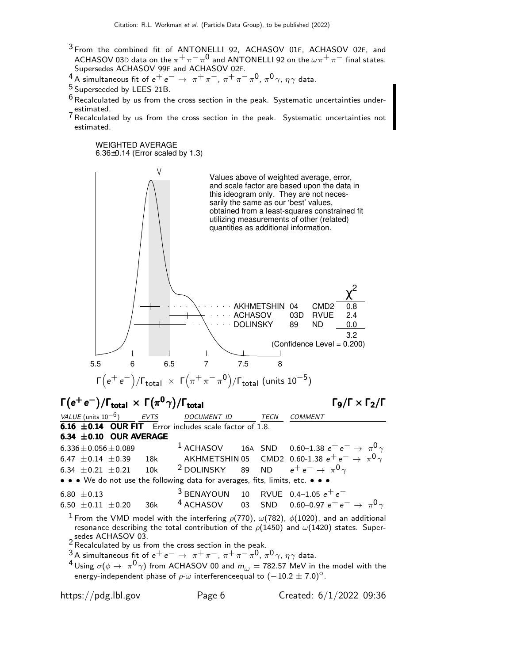- <sup>3</sup> From the combined fit of ANTONELLI 92, ACHASOV 01E, ACHASOV 02E, and ACHASOV 03D data on the  $\pi^+\pi^-\pi^0$  and ANTONELLI 92 on the  $\omega\pi^+\pi^-$  final states. Supersedes ACHASOV 99E and ACHASOV 02E.
- $^{4}$  A simultaneous fit of  $e^+e^- \rightarrow \pi^+\pi^-, \pi^+\pi^-\pi^0, \pi^0\gamma, \eta\gamma$  data.
- 5 Superseeded by LEES 21B.
- $6$  Recalculated by us from the cross section in the peak. Systematic uncertainties underestimated.
- 7Recalculated by us from the cross section in the peak. Systematic uncertainties not estimated.



https://pdg.lbl.gov Page 6 Created: 6/1/2022 09:36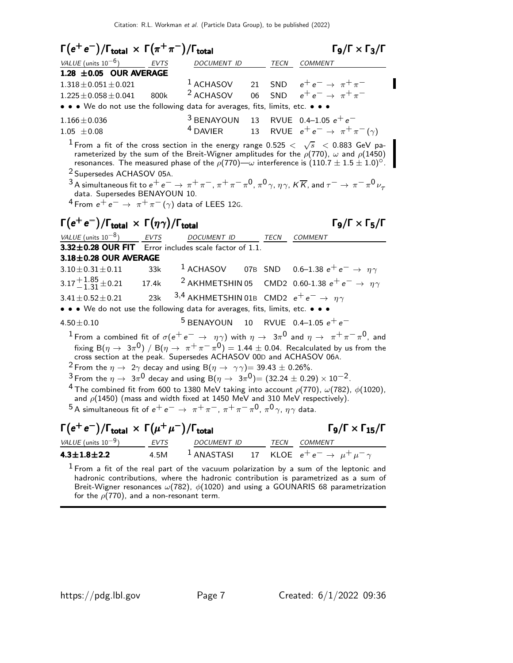| $\Gamma(e^+e^-)/\Gamma_{\rm total} \times \Gamma(\pi^+\pi^-)/\Gamma_{\rm total}$                                                                                                                                                                                                                                                                                                                                                                                                                                                                                                                                                                                                                                                                                                                                                                                                                     |      |                                                          |          |            | $\Gamma$ <sub>9</sub> /Γ × Γ <sub>3</sub> /Γ                                                                                                                                                                                                                                   |  |
|------------------------------------------------------------------------------------------------------------------------------------------------------------------------------------------------------------------------------------------------------------------------------------------------------------------------------------------------------------------------------------------------------------------------------------------------------------------------------------------------------------------------------------------------------------------------------------------------------------------------------------------------------------------------------------------------------------------------------------------------------------------------------------------------------------------------------------------------------------------------------------------------------|------|----------------------------------------------------------|----------|------------|--------------------------------------------------------------------------------------------------------------------------------------------------------------------------------------------------------------------------------------------------------------------------------|--|
| VALUE (units $10^{-6}$ )                                                                                                                                                                                                                                                                                                                                                                                                                                                                                                                                                                                                                                                                                                                                                                                                                                                                             | EVTS | DOCUMENT ID                                              |          |            | TECN COMMENT                                                                                                                                                                                                                                                                   |  |
| 1.28 $\pm$ 0.05 OUR AVERAGE<br>$1.318 \pm 0.051 \pm 0.021$<br>$1.225 \pm 0.058 \pm 0.041$<br>• • • We do not use the following data for averages, fits, limits, etc. • • •                                                                                                                                                                                                                                                                                                                                                                                                                                                                                                                                                                                                                                                                                                                           | 800k | <sup>1</sup> ACHASOV<br><sup>2</sup> ACHASOV             | 21<br>06 | <b>SND</b> | $e^+e^- \rightarrow \pi^+\pi^-$<br>SND $e^+e^- \rightarrow \pi^+\pi^-$                                                                                                                                                                                                         |  |
| $1.166 \pm 0.036$<br>$1.05 \pm 0.08$                                                                                                                                                                                                                                                                                                                                                                                                                                                                                                                                                                                                                                                                                                                                                                                                                                                                 |      | $3$ BENAYOUN<br><sup>4</sup> DAVIER                      |          |            | 13 RVUE 0.4-1.05 $e^+e^-$<br>13 RVUE $e^+e^- \rightarrow \pi^+\pi^-(\gamma)$                                                                                                                                                                                                   |  |
| $^1$ From a fit of the cross section in the energy range 0.525 $<$ $\sqrt{s}$ $<$ 0.883 GeV pa-<br>rameterized by the sum of the Breit-Wigner amplitudes for the $\rho(770)$ , $\omega$ and $\rho(1450)$<br>resonances. The measured phase of the $\rho(770)$ $\!\!-\!\!\omega$ interference is $(110.7 \pm 1.5 \pm 1.0)^{\circ}$ .<br><sup>2</sup> Supersedes ACHASOV 05A.<br>$^3$ A simultaneous fit to $e^+e^-\to\pi^+\pi^-$ , $\pi^+\pi^-\pi^0$ , $\pi^0\gamma$ , $\eta\gamma$ , $K\overline{K}$ , and $\tau^-\to\pi^-\pi^0\nu_\tau$<br>data. Supersedes BENAYOUN 10.<br>$4$ From $e^+e^- \rightarrow \pi^+\pi^-(\gamma)$ data of LEES 12G.                                                                                                                                                                                                                                                      |      |                                                          |          |            |                                                                                                                                                                                                                                                                                |  |
| $\Gamma(e^+e^-)/\Gamma_{\rm total}\,\times\,\Gamma(\eta\gamma)/\Gamma_{\rm total}$                                                                                                                                                                                                                                                                                                                                                                                                                                                                                                                                                                                                                                                                                                                                                                                                                   |      |                                                          |          |            | $\Gamma$ <sub>9</sub> /Γ × Γ <sub>5</sub> /Γ                                                                                                                                                                                                                                   |  |
| VALUE (units $10^{-8}$ ) EVTS                                                                                                                                                                                                                                                                                                                                                                                                                                                                                                                                                                                                                                                                                                                                                                                                                                                                        |      | DOCUMENT ID                                              |          |            | TECN COMMENT                                                                                                                                                                                                                                                                   |  |
| 3.32±0.28 OUR FIT Error includes scale factor of 1.1.                                                                                                                                                                                                                                                                                                                                                                                                                                                                                                                                                                                                                                                                                                                                                                                                                                                |      |                                                          |          |            |                                                                                                                                                                                                                                                                                |  |
| $3.18 \pm 0.28$ OUR AVERAGE                                                                                                                                                                                                                                                                                                                                                                                                                                                                                                                                                                                                                                                                                                                                                                                                                                                                          |      |                                                          |          |            |                                                                                                                                                                                                                                                                                |  |
| $3.10 \pm 0.31 \pm 0.11$                                                                                                                                                                                                                                                                                                                                                                                                                                                                                                                                                                                                                                                                                                                                                                                                                                                                             | 33k  |                                                          |          |            | <sup>1</sup> ACHASOV 07B SND 0.6-1.38 $e^+e^- \rightarrow \eta \gamma$                                                                                                                                                                                                         |  |
| $3.17^{+1.85}_{-1.31}$ ± 0.21 17.4k                                                                                                                                                                                                                                                                                                                                                                                                                                                                                                                                                                                                                                                                                                                                                                                                                                                                  |      |                                                          |          |            | <sup>2</sup> AKHMETSHIN 05 CMD2 0.60-1.38 $e^+e^- \rightarrow \eta \gamma$                                                                                                                                                                                                     |  |
| $3.41 \pm 0.52 \pm 0.21$                                                                                                                                                                                                                                                                                                                                                                                                                                                                                                                                                                                                                                                                                                                                                                                                                                                                             | 23k  | 3,4 AKHMETSHIN 01B CMD2 $e^+e^- \rightarrow \eta \gamma$ |          |            |                                                                                                                                                                                                                                                                                |  |
| • • • We do not use the following data for averages, fits, limits, etc. • • •                                                                                                                                                                                                                                                                                                                                                                                                                                                                                                                                                                                                                                                                                                                                                                                                                        |      |                                                          |          |            |                                                                                                                                                                                                                                                                                |  |
| $4.50 \pm 0.10$                                                                                                                                                                                                                                                                                                                                                                                                                                                                                                                                                                                                                                                                                                                                                                                                                                                                                      |      | <sup>5</sup> BENAYOUN 10 RVUE 0.4-1.05 $e^+e^-$          |          |            |                                                                                                                                                                                                                                                                                |  |
| <sup>1</sup> From a combined fit of $\sigma(e^+e^-\to\eta\gamma)$ with $\eta\to 3\pi^0$ and $\eta\to \pi^+\pi^-\pi^0$ , and<br>fixing B( $\eta \to 3\pi^0$ ) / B( $\eta \to \pi^+\pi^-\pi^0$ ) = 1.44 ± 0.04. Recalculated by us from the<br>cross section at the peak. Supersedes ACHASOV 00D and ACHASOV 06A.<br><sup>2</sup> From the $\eta \to 2\gamma$ decay and using B( $\eta \to \gamma \gamma$ ) = 39.43 $\pm$ 0.26%.<br>$^3$ From the $\eta\to~3\pi^0$ decay and using B( $\eta\to~3\pi^0)$ ) = (32.24 $\pm$ 0.29) $\times$ 10 $^{-2}$ .<br><sup>4</sup> The combined fit from 600 to 1380 MeV taking into account $\rho(770)$ , $\omega(782)$ , $\phi(1020)$ ,<br>and $\rho$ (1450) (mass and width fixed at 1450 MeV and 310 MeV respectively).<br>$^5$ A simultaneous fit of $e^+ \, e^- \, \rightarrow \, \pi^+ \pi^-, \, \pi^+ \pi^- \pi^0, \, \pi^0 \, \gamma, \, \eta \gamma$ data. |      |                                                          |          |            |                                                                                                                                                                                                                                                                                |  |
| $\Gamma(e^+e^-)/\Gamma_{\text{total}} \times \Gamma(\mu^+\mu^-)/\Gamma_{\text{total}}$                                                                                                                                                                                                                                                                                                                                                                                                                                                                                                                                                                                                                                                                                                                                                                                                               |      |                                                          |          |            | $\Gamma$ <sub>9</sub> /Г х Г <sub>15</sub> /Г                                                                                                                                                                                                                                  |  |
| $VALUE$ (units $10^{-9}$ ) EVTS                                                                                                                                                                                                                                                                                                                                                                                                                                                                                                                                                                                                                                                                                                                                                                                                                                                                      |      |                                                          |          |            |                                                                                                                                                                                                                                                                                |  |
| $4.3 \pm 1.8 \pm 2.2$                                                                                                                                                                                                                                                                                                                                                                                                                                                                                                                                                                                                                                                                                                                                                                                                                                                                                | 4.5M |                                                          |          |            | $\frac{DOCUMENT ID}{1$ ANASTASI 17 KLOE $e^+e^- \rightarrow \mu^+\mu^-\gamma$                                                                                                                                                                                                  |  |
| for the $\rho(770)$ , and a non-resonant term.                                                                                                                                                                                                                                                                                                                                                                                                                                                                                                                                                                                                                                                                                                                                                                                                                                                       |      |                                                          |          |            | $1$ From a fit of the real part of the vacuum polarization by a sum of the leptonic and<br>hadronic contributions, where the hadronic contribution is parametrized as a sum of<br>Breit-Wigner resonances $\omega(782)$ , $\phi(1020)$ and using a GOUNARIS 68 parametrization |  |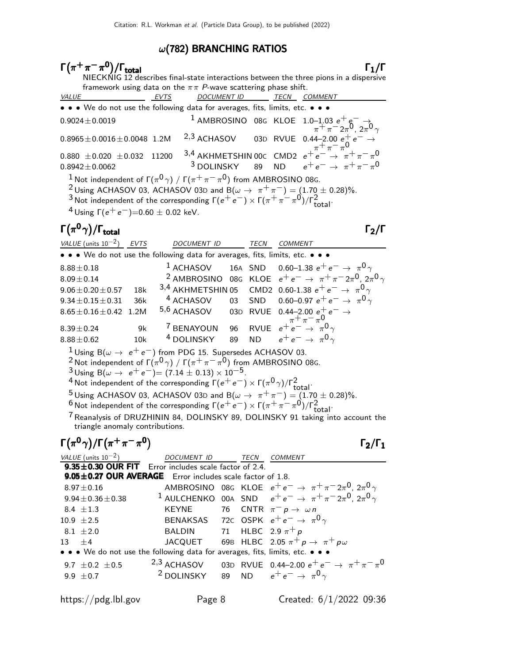#### $\omega$ (782) BRANCHING RATIOS

### $\Gamma(\pi^+\pi^-\pi^0)/\Gamma_{\rm total}$  Γ<sub>1</sub>/Γ  $)/$ Γtotal $Γ_1/\Gamma$ NIECKNIG 12 describes final-state interactions between the three pions in a dispersive framework using data on the  $\pi \pi$  *P*-wave scattering phase shift.<br>VALUE TECN COUNENT ID TECN C <u>EVTS</u> DOCUMENT ID TECN COMMENT • • • We do not use the following data for averages, fits, limits, etc. • • •  $^{1}$  AMBROSINO 08G KLOE  $^{1.0-1.03}_{\pi}$   $^{+}$   $^{+}_{\pi}$   $^{-}_{2\pi}$ 0<sub>, 2 $^{+}_{\pi}$ 0<sub>, 2 $^{+}_{\pi}$ 0<sub>, 2 $^{+}_{\pi}$ 0<sub>, 2 $^{+}_{\pi}$ 0<sub>, 2 $^{+}_{\pi}$ 0<sub>, 2 $^{+}_{\pi}$ 0<sub>, 2 $^{+}_{\pi}$ 0<sub>, 2 $^{+}_{\pi}$ 0<sub>, 2 $^{+}_{\pi}$ 0<sub>, 2 $^{+}_{\pi}$ 0<sub>, 2 $^{+}_{\pi}$ 0<sub>, 2 $^{+}_{\pi}$ 0</sub></sub></sub></sub></sub></sub></sub></sub></sub></sub></sub></sub> 0.8965±0.0016±0.0048 1.2M <sup>2,3</sup> ACHASOV 03D RVUE 0.44−2.00  $e^+e^- \rightarrow$ <br>  $\pi^+ \pi^- \pi^0$ 0.880 ± 0.020 ± 0.032 11200  $\frac{3.4}{3}$  AKHMETSHIN 00c CMD2  $e^+e^-$  →  $\pi^+\pi^-\pi^0$  $0.8942 \pm 0.0062$  3 DOLINSKY 89 ND  $e^+e^- \to \pi^+ \pi^- \pi^0$  $^1$ Not independent of Γ $(\pi^0\gamma)$  / Γ $(\pi^+\pi^-\pi^0)$  from AMBROSINO 08G. <sup>2</sup> Using ACHASOV 03, ACHASOV 03D and B( $\omega \rightarrow \pi^+\pi^-$ ) = (1.70 ± 0.28)%. 3 Not independent of the corresponding  $\Gamma(e^+e^-) \times \Gamma(\pi^+ \pi^- \pi^0)/\Gamma_\text{total}^2$ .

<sup>4</sup> Using  $\Gamma(e^+e^-)=0.60 \pm 0.02$  keV.

## Γ $(\pi^0 \gamma)/\Gamma_{\text{total}}$  Γ $_2/\Gamma$

| VALUE (units $10^{-2}$ ) EVTS |     | DOCUMENT ID                                                                   | TECN | <b>COMMENT</b>                                                                           |
|-------------------------------|-----|-------------------------------------------------------------------------------|------|------------------------------------------------------------------------------------------|
|                               |     | • • • We do not use the following data for averages, fits, limits, etc. • • • |      |                                                                                          |
| $8.88 \pm 0.18$               |     |                                                                               |      | <sup>1</sup> ACHASOV 16A SND 0.60-1.38 $e^+e^- \rightarrow \pi^0 \gamma$                 |
| $8.09 \pm 0.14$               |     |                                                                               |      | <sup>2</sup> AMBROSINO 08G KLOE $e^+e^- \rightarrow \pi^+\pi^-2\pi^0$ , $2\pi^0\gamma$   |
| $9.06 \pm 0.20 \pm 0.57$      | 18k |                                                                               |      | 3,4 AKHMETSHIN 05 CMD2 0.60-1.38 $e^+e^- \rightarrow \pi^0 \gamma$                       |
| $9.34 \pm 0.15 \pm 0.31$      | 36k |                                                                               |      | $^4$ ACHASOV $\qquad$ 03 SND $\qquad$ 0.60–0.97 $e^+ \, e^- \rightarrow \pi^0 \, \gamma$ |
| $8.65 \pm 0.16 \pm 0.42$ 1.2M |     |                                                                               |      | 5,6 ACHASOV 03D RVUE 0.44-2.00 $e^+$ $e^ \rightarrow$                                    |
| $8.39 \pm 0.24$               | 9k  | <sup>7</sup> BENAYOUN                                                         |      | 96 RVUE $e^{\pi}e^{\pi} \rightarrow \pi^0$                                               |
| $8.88 \pm 0.62$               | 10k | <sup>4</sup> DOLINSKY 89 ND $e^+e^- \rightarrow \pi^0 \gamma$                 |      |                                                                                          |
|                               |     | $1\cdots n$ $+ -1$ $0\cdots$ $+ -1$ $0$                                       |      |                                                                                          |

<sup>1</sup> Using B( $\omega \rightarrow e^+e^-$ ) from PDG 15. Supersedes ACHASOV 03.

<sup>2</sup> Not independent of Γ $(\pi^0 \gamma)$  / Γ $(\pi^+ \pi^- \pi^0)$  from AMBROSINO 08G.

 $3 \text{ Using } B(\omega \to e^+ e^-) = (7.14 \pm 0.13) \times 10^{-5}.$ 

 $^{4}$  Not independent of the corresponding  $\Gamma(e^+e^-) \times \Gamma(\pi^0\gamma)/\Gamma_{\rm total}^2$ .

 $\frac{5}{5}$  Using ACHASOV 03, ACHASOV 03D and  $B(\omega \to \pi^+ \pi^-) = (1.70 \pm 0.28)\%$ .

<sup>6</sup> Not independent of the corresponding  $\Gamma(e^+e^-) \times \Gamma(\pi^+\pi^-\pi^0)/\Gamma_\text{total}^2$ .

 $7$  Reanalysis of DRUZHININ 84, DOLINSKY 89, DOLINSKY 91 taking into account the triangle anomaly contributions.

# $\Gamma(\pi^0 \gamma)/\Gamma(\pi^+ \pi^- \pi^0)$  Γ<sub>2</sub>/Γ<sub>1</sub>

) Γ $_2$ /Γ

| VALUE (units $10^{-2}$ ) DOCUMENT ID TECN                                     |                                                    |  |  | <b>COMMENT</b>                                                                        |  |  |  |  |
|-------------------------------------------------------------------------------|----------------------------------------------------|--|--|---------------------------------------------------------------------------------------|--|--|--|--|
| 9.35±0.30 OUR FIT Error includes scale factor of 2.4.                         |                                                    |  |  |                                                                                       |  |  |  |  |
| 9.05±0.27 OUR AVERAGE Error includes scale factor of 1.8.                     |                                                    |  |  |                                                                                       |  |  |  |  |
| $8.97 \pm 0.16$                                                               |                                                    |  |  | AMBROSINO 08G KLOE $e^+e^- \rightarrow \pi^+\pi^-2\pi^0$ , $2\pi^0\gamma$             |  |  |  |  |
| $9.94 \pm 0.36 \pm 0.38$                                                      |                                                    |  |  | <sup>1</sup> AULCHENKO 00A SND $e^+e^- \rightarrow \pi^+\pi^-2\pi^0$ , $2\pi^0\gamma$ |  |  |  |  |
| $8.4 + 1.3$                                                                   | KEYNE 76 CNTR $\pi^- p \to \omega n$               |  |  |                                                                                       |  |  |  |  |
| $10.9 + 2.5$                                                                  |                                                    |  |  | BENAKSAS 72C OSPK $e^+e^- \rightarrow \pi^0 \gamma$                                   |  |  |  |  |
| 8.1 $\pm 2.0$                                                                 | BALDIN 71 HLBC 2.9 $\pi^+ p$                       |  |  |                                                                                       |  |  |  |  |
| $13 + 4$                                                                      |                                                    |  |  | JACQUET 69B HLBC 2.05 $\pi^+ p \to \pi^+ p \omega$                                    |  |  |  |  |
| • • • We do not use the following data for averages, fits, limits, etc. • • • |                                                    |  |  |                                                                                       |  |  |  |  |
| 9.7 $\pm$ 0.2 $\pm$ 0.5                                                       |                                                    |  |  | 2,3 ACHASOV 03D RVUE 0.44-2.00 $e^+e^- \rightarrow \pi^+\pi^-\pi^0$                   |  |  |  |  |
| 9.9 $\pm$ 0.7                                                                 | $^2$ DOLINSKY 89 ND $e^+e^-\rightarrow\pi^0\gamma$ |  |  |                                                                                       |  |  |  |  |
|                                                                               |                                                    |  |  |                                                                                       |  |  |  |  |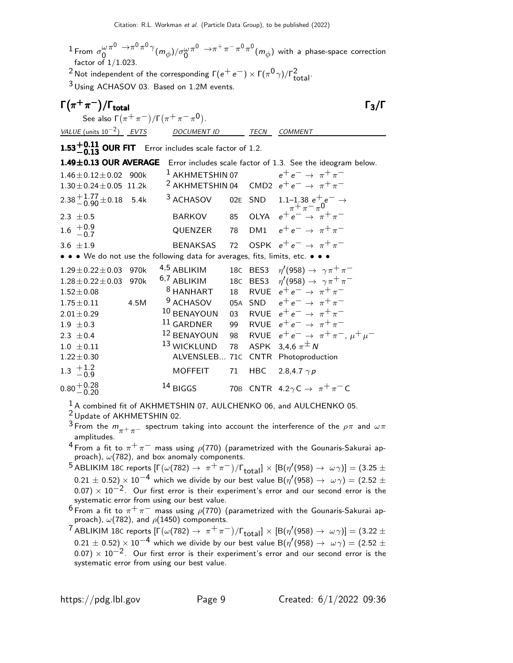<sup>1</sup> From  $\sigma_{0}^{\omega \pi^{0}} \rightarrow \pi^{0} \pi^{0} \gamma$  $\omega \pi^0 \rightarrow$   $\pi^0 \pi^0 \gamma$   $(m_\phi)/\sigma_0^{\omega} \pi^0 \rightarrow$   $\pi^+ \pi^- \pi^0 \pi^0$  $\begin{array}{l} \omega \, \pi^{\circ} \, \rightarrow \! \pi^{\,\cdot} \, \pi^{\,\cdot} \, \pi^{\,\circ} \, \pi^{\circ} \, (m_\phi)$  with a phase-space correction factor of 1/1.023.  $^2$ Not independent of the corresponding  $\Gamma(e^+e^-) \times \Gamma(\pi^0\gamma)/\Gamma_\text{total}^2$ . 3 Using ACHASOV 03. Based on 1.2M events.  $\Gamma(\pi^+\pi^-)/\Gamma_{\text{total}}$  Γ<sub>3</sub>/Γ See also  $\Gamma(\pi^+\pi^-)/\Gamma(\pi^+\pi^-\pi^0)$ . VALUE (units  $10^{-2}$ ) EVTS DOCUMENT ID TECN COMMENT  $1.53^{+0.11}_{-0.13}$  OUR FIT Error includes scale factor of 1.2. **1.49±0.13 OUR AVERAGE** Error includes scale factor of 1.3. See the ideogram below.<br>1.46±0.12±0.02 900k <sup>1</sup> AKHMETSHIN 07  $e^+e^- \rightarrow \pi^+\pi^ 1.46 \pm 0.12 \pm 0.02$  900k <sup>1</sup> AKHMETSHIN 07<br> $1.30 + 0.24 + 0.05$  11.2k <sup>2</sup> AKHMETSHIN 04 CMD2  $e^+e^- \rightarrow \pi^+ \pi^ 2.38 + 1.77 + 0.18$  5.4k  $^{+1.77}_{-0.90}$ ±0.18 5.4k  $^3$  ACHASOV 02E SND 1.1–1.38  $e^+e^-\to$ 2.3  $\pm$ 0.5 BARKOV 85 OLYA  $e^+e^- \rightarrow \pi^+\pi^ 1.6^{+0.9}_{-0.7}$  $-0.7$ QUENZER 78 DM1  $e^+e^- \rightarrow \pi^+\pi^-$ 3.6  $\pm 1.9$  BENAKSAS 72 OSPK  $e^+e^- \rightarrow \pi^+\pi^-$ • • • We do not use the following data for averages, fits, limits, etc. • • •  $1.29 \pm 0.22 \pm 0.03$  970k  $4,5$  ABLIKIM<br> $1.28 \pm 0.22 \pm 0.03$  970k  $6,7$  ABLIKIM  $\gamma'$ (958)  $\to \gamma \pi^+ \pi^ 1.28 \pm 0.22 \pm 0.03$  970k  $^{6,7}$  ABLIKIM<br>1.52+0.08 8 HANHART  $\gamma(958) \rightarrow \gamma \pi^+ \pi^-$ 1.52±0.08 <sup>8</sup> HANHART 18 RVUE  $e^+e^- \rightarrow \pi^+\pi^-$ <br>1.75±0.11 4.5M <sup>9</sup> ACHASOV 05A SND  $e^+e^- \rightarrow \pi^+\pi^-$ 1.75±0.11 4.5M <sup>9</sup> ACHASOV 05A SND  $e^+e^-$  →  $\pi^+\pi^-$ <br>2.01±0.29 <sup>10</sup> BENAYOUN 03 RVUE  $e^+e^-$  →  $\pi^+\pi^-$ <sup>10</sup> BENAYOUN 03 RVUE  $e^+e^- \rightarrow \pi^+\pi^-$ <br><sup>11</sup> GARDNER 99 RVUE  $e^+e^- \rightarrow \pi^+\pi^ 1.9 \pm 0.3$ <sup>11</sup> GARDNER 99 RVUE  $e^+e^- \rightarrow \pi^+\pi^-$ <br><sup>12</sup> BENAYOUN 98 RVUE  $e^+e^- \rightarrow \pi^+\pi^ 2.3 \pm 0.4$ <br>1.0  $\pm 0.11$ 12 BENAYOUN 98 RVUE  $e^+e^- \rightarrow \pi^+\pi^-, \mu^+\mu^-$ <br>13 WICKLUND 78 ASPK 3.4.6  $\pi^{\pm}N$ 1.0  $\pm$  0.11 <sup>13</sup> WICKLUND 78 ASPK 3,4,6  $\pi^{\pm}$  N<br>1.22 $\pm$  0.30 ALVENSLEB... 71c CNTR Photoprodu ALVENSLEB... 71C CNTR Photoproduction  $1.3 \pm 1.2$  $-0.9$ MOFFEIT 71 HBC 2.8,4.7  $\gamma p$  $0.80 + 0.28$ <br>-0.20 <sup>14</sup> BIGGS 70B CNTR 4.2γC →  $\pi^{+} \pi^{-}$ C

<sup>1</sup> A combined fit of AKHMETSHIN 07, AULCHENKO 06, and AULCHENKO 05.

2 Update of AKHMETSHIN 02.

<sup>3</sup> From the  $m_{\pi^+\pi^-}$  spectrum taking into account the interference of the  $\rho\pi$  and  $\omega\pi$ amplitudes.

<sup>4</sup> From a fit to  $\pi^+\pi^-$  mass using  $\rho$ (770) (parametrized with the Gounaris-Sakurai approach),  $\omega(782)$ , and box anomaly components.

- <sup>5</sup> ABLIKIM 18C reports [Γ $(\omega(782) \rightarrow \pi^{+}\pi^{-})$ /Γ<sub>total</sub>] × [Β( $\eta'(958) \rightarrow \omega \gamma$ )] = (3.25 ±  $(0.21\pm 0.52)\times 10^{-4}$  which we divide by our best value B $(\eta^\prime(958)\to\,\,\,\omega\gamma)=(2.52\pm 0.02)$  $(0.07) \times 10^{-2}$ . Our first error is their experiment's error and our second error is the systematic error from using our best value.
- $^6$  From a fit to  $\pi^+\pi^-$  mass using  $\rho$ (770) (parametrized with the Gounaris-Sakurai approach),  $\omega(782)$ , and  $\rho(1450)$  components.

<sup>7</sup> ABLIKIM 18C reports [Γ $(\omega(782) \rightarrow \pi^{+}\pi^{-})$ /Γ<sub>total</sub>] × [Β( $\eta'(958) \rightarrow \omega \gamma$ )] = (3.22 ±  $(0.21\pm 0.52)\times 10^{-4}$  which we divide by our best value B $(\eta^\prime(958)\to\omega\gamma)=(2.52\pm 0.52)$  $(0.07) \times 10^{-2}$ . Our first error is their experiment's error and our second error is the systematic error from using our best value.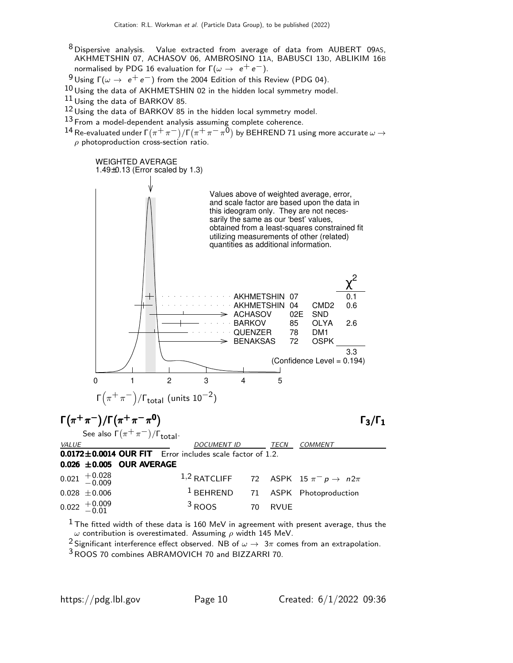- 8 Dispersive analysis. Value extracted from average of data from AUBERT 09AS, AKHMETSHIN 07, ACHASOV 06, AMBROSINO 11A, BABUSCI 13D, ABLIKIM 16B normalised by PDG 16 evaluation for  $\Gamma(\omega \to e^+e^-)$ .
- <sup>9</sup> Using Γ( $ω \rightarrow e^+e^-$ ) from the 2004 Edition of this Review (PDG 04).
- 10 Using the data of AKHMETSHIN 02 in the hidden local symmetry model.
- $11$  Using the data of BARKOV 85.
- $12$  Using the data of BARKOV 85 in the hidden local symmetry model.
- 13 From a model-dependent analysis assuming complete coherence.
- $^{14}$  Re-evaluated under Γ $(\pi^+\pi^-)/$ Γ $(\pi^+\pi^-\pi^0)$  by BEHREND 71 using more accurate  $\omega$   $\rightarrow$  $\rho$  photoproduction cross-section ratio.



 $<sup>1</sup>$  The fitted width of these data is 160 MeV in agreement with present average, thus the</sup>  $ω$  contribution is overestimated. Assuming  $ρ$  width 145 MeV.

2 Significant interference effect observed. NB of  $\omega \to 3\pi$  comes from an extrapolation.

3ROOS 70 combines ABRAMOVICH 70 and BIZZARRI 70.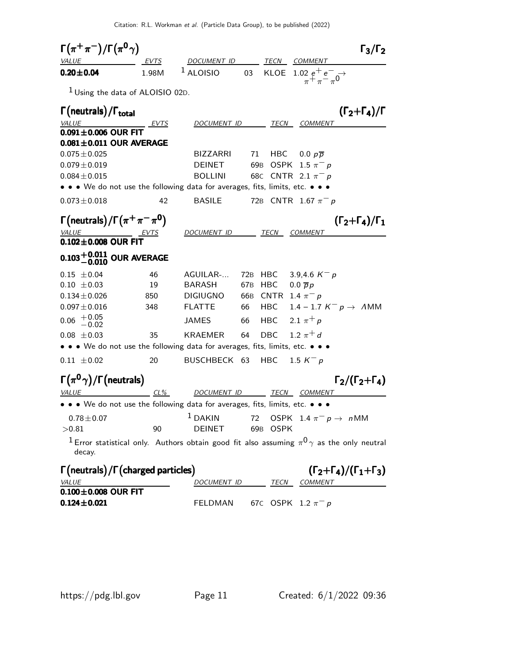| $\Gamma(\pi^+\pi^-)/\Gamma(\pi^0\gamma)$                                                           |       |                                                                                                                |                 |             |                                       | $\Gamma_3/\Gamma_2$                           |
|----------------------------------------------------------------------------------------------------|-------|----------------------------------------------------------------------------------------------------------------|-----------------|-------------|---------------------------------------|-----------------------------------------------|
| <i>VALUE</i>                                                                                       | EVTS  | DOCUMENT ID                                                                                                    |                 |             | TECN COMMENT                          |                                               |
| $0.20 \pm 0.04$                                                                                    | 1.98M | $1$ ALOISIO                                                                                                    | 03              | KLOE        | 1.02 $e^+e^ \rightarrow$              |                                               |
| $1$ Using the data of ALOISIO 02D.                                                                 |       |                                                                                                                |                 |             |                                       |                                               |
| $\Gamma$ (neutrals)/ $\Gamma$ <sub>total</sub>                                                     |       |                                                                                                                |                 |             |                                       | $(\Gamma_2+\Gamma_4)/\Gamma$                  |
| VALUE                                                                                              | EVTS  | DOCUMENT ID                                                                                                    |                 |             | <i>TECN COMMENT</i>                   |                                               |
| $0.091 \pm 0.006$ OUR FIT                                                                          |       |                                                                                                                |                 |             |                                       |                                               |
| $0.081 \pm 0.011$ OUR AVERAGE                                                                      |       |                                                                                                                |                 |             |                                       |                                               |
| $0.075 \pm 0.025$                                                                                  |       | <b>BIZZARRI</b>                                                                                                | 71              | HBC         | $0.0 p\overline{p}$                   |                                               |
| $0.079 \pm 0.019$                                                                                  |       | <b>DEINET</b>                                                                                                  | 69 <sub>B</sub> |             | OSPK 1.5 $\pi^- p$                    |                                               |
| $0.084 \pm 0.015$<br>• • • We do not use the following data for averages, fits, limits, etc. • • • |       | <b>BOLLINI</b>                                                                                                 |                 |             | 68C CNTR 2.1 $\pi^- p$                |                                               |
|                                                                                                    |       |                                                                                                                |                 |             |                                       |                                               |
| $0.073 \pm 0.018$                                                                                  | 42    | <b>BASILE</b>                                                                                                  |                 |             | 72B CNTR 1.67 $\pi^- p$               |                                               |
| $\Gamma(\text{neutrals})/\Gamma(\pi^+\pi^-\pi^0)$                                                  |       |                                                                                                                |                 |             |                                       | $(\Gamma_2 + \Gamma_4)/\Gamma_1$              |
| VALUE                                                                                              |       | DOCUMENT ID                                                                                                    |                 | TECN        | COMMENT                               |                                               |
| $0.102 \pm 0.008$ OUR FIT                                                                          |       |                                                                                                                |                 |             |                                       |                                               |
| $0.103^{+0.011}_{-0.010}$ OUR AVERAGE                                                              |       |                                                                                                                |                 |             |                                       |                                               |
| $0.15 \pm 0.04$                                                                                    | 46    | AGUILAR-                                                                                                       | 72B             | HBC.        | 3.9,4.6 $K^- p$                       |                                               |
| $0.10 \pm 0.03$                                                                                    | 19    | <b>BARASH</b>                                                                                                  | 67 <sub>B</sub> | HBC         | $0.0 \overline{p}p$                   |                                               |
| $0.134 \pm 0.026$                                                                                  | 850   | <b>DIGIUGNO</b>                                                                                                |                 |             | 66B CNTR 1.4 $\pi^- p$                |                                               |
| $0.097 \pm 0.016$                                                                                  | 348   | <b>FLATTE</b>                                                                                                  | 66 —            | HBC         |                                       | 1.4 – 1.7 $K^- p \rightarrow AMM$             |
| $+0.05$<br>$-0.02$<br>0.06                                                                         |       | JAMES                                                                                                          | 66 —            | HBC         | 2.1 $\pi^{+} p$                       |                                               |
| $0.08 \pm 0.03$                                                                                    | 35    | KRAEMER                                                                                                        | 64              | DBC         | 1.2 $\pi^{+}d$                        |                                               |
| • • • We do not use the following data for averages, fits, limits, etc. • • •                      |       |                                                                                                                |                 |             |                                       |                                               |
| $0.11 \pm 0.02$                                                                                    | 20    | BUSCHBECK 63                                                                                                   |                 | HBC.        | 1.5 $K^- p$                           |                                               |
| $\Gamma(\pi^0\gamma)/\Gamma$ (neutrals)                                                            |       |                                                                                                                |                 |             |                                       | $\Gamma_2/(\Gamma_2+\Gamma_4)$                |
|                                                                                                    | CL%   | <u>DOCUMENT ID</u>                                                                                             |                 |             | TECN COMMENT                          |                                               |
| • • • We do not use the following data for averages, fits, limits, etc. • • •                      |       |                                                                                                                |                 |             |                                       |                                               |
| $0.78 \pm 0.07$                                                                                    |       | $1$ DAKIN                                                                                                      |                 |             | 72 OSPK 1.4 $\pi^ p \rightarrow n$ MM |                                               |
| >0.81                                                                                              | 90    | <b>DEINET</b>                                                                                                  | 69B             | <b>OSPK</b> |                                       |                                               |
| decay.                                                                                             |       | <sup>1</sup> Error statistical only. Authors obtain good fit also assuming $\pi^{0}\gamma$ as the only neutral |                 |             |                                       |                                               |
| $\Gamma$ (neutrals)/ $\Gamma$ (charged particles)                                                  |       |                                                                                                                |                 |             |                                       | $(\Gamma_2 + \Gamma_4)/(\Gamma_1 + \Gamma_3)$ |
| <b>VALUE</b>                                                                                       |       |                                                                                                                |                 |             | DOCUMENT ID TECN COMMENT              |                                               |
| $0.100 \pm 0.008$ OUR FIT                                                                          |       |                                                                                                                |                 |             |                                       |                                               |
| $0.124 \pm 0.021$                                                                                  |       | <b>FELDMAN</b>                                                                                                 |                 |             | 67C OSPK 1.2 $\pi^- p$                |                                               |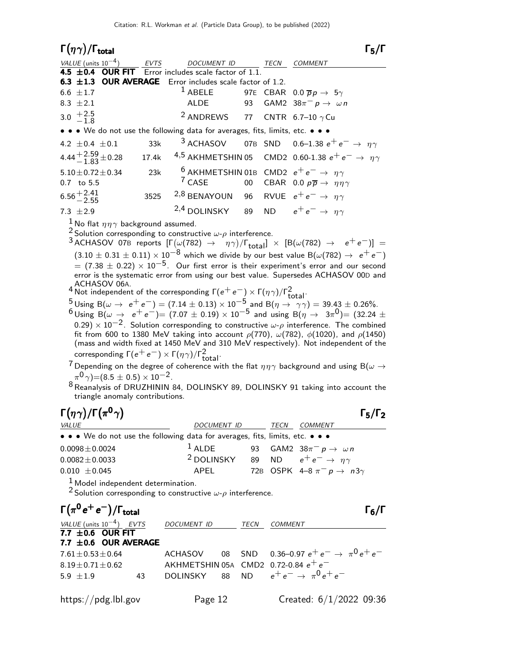| $\Gamma(\eta\gamma)/\Gamma_{\rm total}$                                                                                                                                                                                                                                                                 |             |                                                                   |    |      | 15/1                                                                                                              |  |  |
|---------------------------------------------------------------------------------------------------------------------------------------------------------------------------------------------------------------------------------------------------------------------------------------------------------|-------------|-------------------------------------------------------------------|----|------|-------------------------------------------------------------------------------------------------------------------|--|--|
| VALUE (units $10^{-4}$ )                                                                                                                                                                                                                                                                                | <b>EVTS</b> | <b>DOCUMENT ID</b>                                                |    | TECN | <b>COMMENT</b>                                                                                                    |  |  |
| 4.5 $\pm$ 0.4 OUR FIT Error includes scale factor of 1.1.                                                                                                                                                                                                                                               |             |                                                                   |    |      |                                                                                                                   |  |  |
| 6.3 ±1.3 OUR AVERAGE Error includes scale factor of 1.2.                                                                                                                                                                                                                                                |             |                                                                   |    |      |                                                                                                                   |  |  |
| 6.6 $\pm 1.7$                                                                                                                                                                                                                                                                                           |             | $1$ ABELE                                                         |    |      | 97E CBAR 0.0 $\overline{p}p \rightarrow 5\gamma$                                                                  |  |  |
| 8.3 $\pm 2.1$                                                                                                                                                                                                                                                                                           |             | ALDE                                                              |    |      | 93 GAM2 $38\pi^{-} p \rightarrow \omega n$                                                                        |  |  |
| 3.0 $+2.5$<br>-1.8                                                                                                                                                                                                                                                                                      |             | <sup>2</sup> ANDREWS 77 CNTR 6.7-10 $\gamma$ Cu                   |    |      |                                                                                                                   |  |  |
| • • • We do not use the following data for averages, fits, limits, etc. • • •                                                                                                                                                                                                                           |             |                                                                   |    |      |                                                                                                                   |  |  |
| 4.2 $\pm$ 0.4 $\pm$ 0.1                                                                                                                                                                                                                                                                                 | 33k         |                                                                   |    |      | <sup>3</sup> ACHASOV 07B SND 0.6-1.38 $e^+e^- \rightarrow \eta \gamma$                                            |  |  |
| 4.44 $+2.59$ $\pm$ 0.28                                                                                                                                                                                                                                                                                 | 17.4k       |                                                                   |    |      | 4,5 AKHMETSHIN 05 CMD2 0.60-1.38 $e^+e^- \rightarrow \eta \gamma$                                                 |  |  |
| $5.10 \pm 0.72 \pm 0.34$                                                                                                                                                                                                                                                                                | 23k         | <sup>6</sup> AKHMETSHIN 01B CMD2 $e^+e^- \rightarrow \eta \gamma$ |    |      |                                                                                                                   |  |  |
| $0.7$ to 5.5                                                                                                                                                                                                                                                                                            |             | $7$ CASE                                                          |    |      | 00 CBAR 0.0 $p\overline{p} \rightarrow \eta\eta\gamma$                                                            |  |  |
| $6.56^{+2.41}_{-2.55}$                                                                                                                                                                                                                                                                                  | 3525        | <sup>2,8</sup> BENAYOUN 96 RVUE $e^+e^- \rightarrow \eta \gamma$  |    |      |                                                                                                                   |  |  |
| 7.3 $\pm 2.9$                                                                                                                                                                                                                                                                                           |             | <sup>2,4</sup> DOLINSKY                                           | 89 |      | ND $e^+e^- \rightarrow \eta \gamma$                                                                               |  |  |
| <sup>1</sup> No flat $\eta\eta\gamma$ background assumed.<br><sup>2</sup> Solution corresponding to constructive $\omega$ - $\rho$ interference.<br><sup>3</sup> ACHASOV 07B reports $[\Gamma(\omega(782) \rightarrow \eta \gamma)/\Gamma_{\text{total}}] \times [B(\omega(782) \rightarrow e^+e^-)] =$ |             |                                                                   |    |      |                                                                                                                   |  |  |
|                                                                                                                                                                                                                                                                                                         |             |                                                                   |    |      | $(3.10 \pm 0.31 \pm 0.11) \times 10^{-8}$ which we divide by our best value B( $\omega(782) \rightarrow e^+e^-$ ) |  |  |
|                                                                                                                                                                                                                                                                                                         |             |                                                                   |    |      | $=$ (7.38 $\pm$ 0.22) $\times$ 10 <sup>-5</sup> . Our first error is their experiment's error and our second      |  |  |
|                                                                                                                                                                                                                                                                                                         |             |                                                                   |    |      | error is the systematic error from using our best value. Supersedes ACHASOV 00D and                               |  |  |
| ACHASOV 06A.                                                                                                                                                                                                                                                                                            |             |                                                                   |    |      |                                                                                                                   |  |  |

- ACHASOV 06A.<br><sup>4</sup> Not independent of the corresponding Γ(e<sup>+</sup>e<sup>-</sup>) × Γ(ηγ)/Γ<sup>2</sup>total.
- $\frac{5}{5}$  Using B( $\omega \to e^+e^-$ ) = (7.14  $\pm$  0.13) × 10<sup>-5</sup> and B( $\eta \to \gamma \gamma$ ) = 39.43  $\pm$  0.26%.  $^6$ Using B( $\omega \rightarrow e^+e^-$ )= (7.07  $\pm$  0.19)  $\times$  10<sup>-5</sup> and using B( $\eta \rightarrow 3\pi^0$ )= (32.24  $\pm$  $(0.29)\times 10^{-2}$ . Solution corresponding to constructive  $\omega$ - $\rho$  interference. The combined fit from 600 to 1380 MeV taking into account  $\rho(770)$ ,  $\omega(782)$ ,  $\phi(1020)$ , and  $\rho(1450)$ (mass and width fixed at 1450 MeV and 310 MeV respectively). Not independent of the corresponding  $\Gamma(e^+e^-) \times \Gamma(\eta \gamma) / \Gamma_{\rm total}^2$ .

<sup>7</sup> Depending on the degree of coherence with the flat  $\eta \eta \gamma$  background and using B( $\omega \rightarrow$  $(\pi^0 \gamma)$  = (8.5  $\pm$  0.5)  $\times$  10<sup>-2</sup>.

 $8$  Reanalysis of DRUZHININ 84, DOLINSKY 89, DOLINSKY 91 taking into account the triangle anomaly contributions.

| $\Gamma(\eta\gamma)/\Gamma(\pi^0\gamma)$                                                |                                                              |      |                                             | $\Gamma_5/\Gamma_2$ |
|-----------------------------------------------------------------------------------------|--------------------------------------------------------------|------|---------------------------------------------|---------------------|
| <i>VALUE</i>                                                                            | <i>DOCUMENT ID</i>                                           | TECN | <b>COMMENT</b>                              |                     |
| • • • We do not use the following data for averages, fits, limits, etc. • • •           |                                                              |      |                                             |                     |
| $0.0098 \pm 0.0024$                                                                     | $1$ ALDE                                                     |      | 93 GAM2 38 $\pi^-$ p $\rightarrow \omega n$ |                     |
| $0.0082 \pm 0.0033$                                                                     | <sup>2</sup> DOLINSKY 89 ND $e^+e^- \rightarrow \eta \gamma$ |      |                                             |                     |
| $0.010 \pm 0.045$                                                                       | APEL                                                         |      | 72B OSPK 4-8 $\pi^ p \rightarrow n3\gamma$  |                     |
| $\frac{1}{2}$ and $\frac{1}{2}$ in the set of $\frac{1}{2}$ in the set of $\frac{1}{2}$ |                                                              |      |                                             |                     |

1 Model independent determination.

<sup>2</sup> Solution corresponding to constructive  $\omega$ - $\rho$  interference.

| $\Gamma(\pi^0 e^+ e^-)/\Gamma_{\rm total}$         |    |             |      | $\Gamma_6/\Gamma$                                          |
|----------------------------------------------------|----|-------------|------|------------------------------------------------------------|
| VALUE (units $10^{-4}$ ) EVTS                      |    | DOCUMENT ID | TECN | <b>COMMENT</b>                                             |
| 7.7 $\pm$ 0.6 OUR FIT<br>7.7 $\pm$ 0.6 OUR AVERAGE |    |             |      |                                                            |
| $7.61 \pm 0.53 \pm 0.64$                           |    |             |      | ACHASOV 08 SND 0.36-0.97 $e^+e^- \rightarrow \pi^0 e^+e^-$ |
| $8.19 \pm 0.71 \pm 0.62$                           |    |             |      | AKHMETSHIN 05A CMD2 0.72-0.84 $e^+e^-$                     |
| 5.9 $\pm 1.9$                                      | 43 |             |      | DOLINSKY 88 ND $e^+e^- \rightarrow \pi^0 e^+e^-$           |
| https://pdg.lbl.gov                                |    | Page 12     |      | Created: $6/1/2022$ 09:36                                  |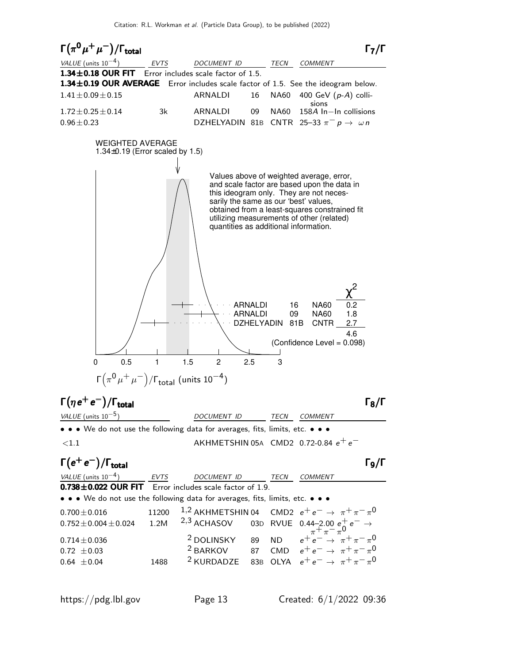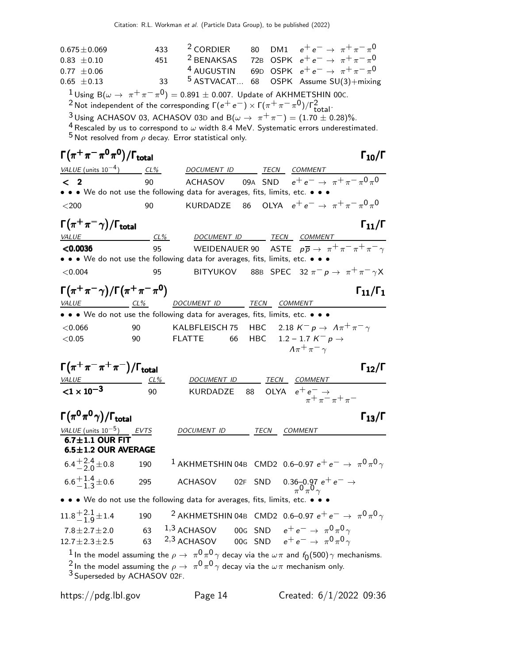| $0.675 \pm 0.069$                                                              | 433 | <sup>2</sup> CORDIER                                                                                                    | 80           | DM1 $e^+e^- \to \pi^+\pi^-\pi^0$                                                                                                  |
|--------------------------------------------------------------------------------|-----|-------------------------------------------------------------------------------------------------------------------------|--------------|-----------------------------------------------------------------------------------------------------------------------------------|
| $0.83 \pm 0.10$                                                                | 451 |                                                                                                                         |              | <sup>2</sup> BENAKSAS 72B OSPK $e^+e^- \rightarrow \pi^+\pi^-\pi^0$                                                               |
| $0.77 \pm 0.06$                                                                |     |                                                                                                                         |              | <sup>4</sup> AUGUSTIN 69D OSPK $e^+e^- \rightarrow \pi^+\pi^-\pi^0$                                                               |
| $0.65 \pm 0.13$                                                                | 33  |                                                                                                                         |              | <sup>5</sup> ASTVACAT 68 OSPK Assume SU(3)+mixing                                                                                 |
|                                                                                |     | <sup>1</sup> Using B( $\omega \to \pi^+ \pi^- \pi^0$ ) = 0.891 ± 0.007. Update of AKHMETSHIN 00c.                       |              |                                                                                                                                   |
|                                                                                |     | <sup>2</sup> Not independent of the corresponding $\Gamma(e^+e^-) \times \Gamma(\pi^+\pi^-\pi^0)/\Gamma^2_{total}$ .    |              |                                                                                                                                   |
|                                                                                |     | <sup>3</sup> Using ACHASOV 03, ACHASOV 03D and B( $\omega \to \pi^+ \pi^-$ ) = (1.70 ± 0.28)%.                          |              |                                                                                                                                   |
|                                                                                |     | $^5$ Not resolved from $\rho$ decay. Error statistical only.                                                            |              | <sup>4</sup> Rescaled by us to correspond to $\omega$ width 8.4 MeV. Systematic errors underestimated.                            |
| $\Gamma(\pi^+\pi^-\pi^0\pi^0)/\Gamma_{\rm total}$                              |     |                                                                                                                         |              | $\Gamma_{10}/\Gamma$                                                                                                              |
| VALUE (units $10^{-4}$ ) CL%                                                   |     | DOCUMENT ID TECN COMMENT                                                                                                |              |                                                                                                                                   |
| $\langle$ 2                                                                    | 90  |                                                                                                                         |              | ACHASOV 09A SND $e^+e^- \rightarrow \pi^+\pi^-\pi^0\pi^0$                                                                         |
|                                                                                |     | • • • We do not use the following data for averages, fits, limits, etc. • • •                                           |              |                                                                                                                                   |
| $<$ 200                                                                        | 90  | KURDADZE                                                                                                                | 86           | OLYA $e^+e^- \to \pi^+\pi^-\pi^0\pi^0$                                                                                            |
| $\Gamma(\pi^+\pi^-\gamma)/\Gamma_{\rm total}$                                  |     |                                                                                                                         |              | $\Gamma_{11}/\Gamma$                                                                                                              |
| <b>VALUE</b>                                                                   | CL% | DOCUMENT ID TECN COMMENT                                                                                                |              |                                                                                                                                   |
| < 0.0036                                                                       | 95  |                                                                                                                         |              | WEIDENAUER 90 ASTE $p\overline{p} \rightarrow \pi^+ \pi^- \pi^+ \pi^- \gamma$                                                     |
|                                                                                |     | • • • We do not use the following data for averages, fits, limits, etc. • • •                                           |              |                                                                                                                                   |
| < 0.004                                                                        | 95  |                                                                                                                         |              | BITYUKOV 88B SPEC 32 $\pi^- p \to \pi^+ \pi^- \gamma X$                                                                           |
| $\Gamma(\pi^+\pi^-\gamma)/\Gamma(\pi^+\pi^-\pi^0)$<br>VALUE                    |     | DOCUMENT ID TECN COMMENT                                                                                                |              | $\Gamma_{11}/\Gamma_1$                                                                                                            |
| $CL\%$                                                                         |     | • • • We do not use the following data for averages, fits, limits, etc. • • •                                           |              |                                                                                                                                   |
|                                                                                |     |                                                                                                                         |              |                                                                                                                                   |
| < 0.066                                                                        | 90  | KALBFLEISCH 75                                                                                                          |              | HBC 2.18 $K^- p \rightarrow \Lambda \pi^+ \pi^- \gamma$                                                                           |
| $<\!\!0.05$                                                                    | 90  | <b>FLATTE</b><br>66                                                                                                     | HBC          | 1.2 – 1.7 $K^- p \rightarrow$<br>$\Lambda \pi^+ \pi^- \gamma$                                                                     |
| $\Gamma(\pi^+\pi^-\pi^+\pi^-)/\Gamma_{\rm total}$                              |     |                                                                                                                         |              | $\Gamma_{12}/\Gamma$                                                                                                              |
|                                                                                |     | DOCUMENT ID                                                                                                             |              | TECN COMMENT                                                                                                                      |
| $\frac{VALUE}{<1\times10^{-3}}$                                                | 90  | KURDADZE                                                                                                                | OLYA<br>88   |                                                                                                                                   |
|                                                                                |     |                                                                                                                         |              | $e^+e^ \rightarrow$<br>$\pi^+ \pi^- \pi^+ \pi^-$                                                                                  |
| $\Gamma(\pi^0\pi^0\gamma)/\Gamma_{\rm total}$                                  |     |                                                                                                                         |              | $\Gamma_{13}/\Gamma$                                                                                                              |
| $\frac{\text{VALUE (units 10}^{-5})}{\text{6.7} \pm 1.1 \text{ OUR FIT}}$ EVTS |     | DOCUMENT ID                                                                                                             | TECN COMMENT |                                                                                                                                   |
| $6.5 \pm 1.2$ OUR AVERAGE                                                      |     |                                                                                                                         |              |                                                                                                                                   |
| $6.4^{+2.4}_{-2.0}$ ± 0.8                                                      | 190 |                                                                                                                         |              | $^1$ AKHMETSHIN 04B CMD2 0.6–0.97 $e^+e^ \rightarrow \ \pi^0\pi^0\gamma$                                                          |
| $6.6^{+1.4}_{-1.3}$ ± 0.6                                                      | 295 | <b>ACHASOV</b>                                                                                                          | 02F SND      | $0.36 - 0.97 e^+ e^- \rightarrow$                                                                                                 |
|                                                                                |     | • • • We do not use the following data for averages, fits, limits, etc. •                                               |              |                                                                                                                                   |
| $11.8 + 2.1$ <sub>9</sub> ± 1.4                                                | 190 |                                                                                                                         |              | <sup>2</sup> AKHMETSHIN 04B CMD2 0.6-0.97 $e^+e^- \rightarrow \pi^0 \pi^0 \gamma$                                                 |
| $7.8 \pm 2.7 \pm 2.0$                                                          | 63  | $^{1,3}$ ACHASOV 00G SND $e^+e^-\rightarrow\pi^0\pi^0\gamma$                                                            |              |                                                                                                                                   |
| $12.7 \pm 2.3 \pm 2.5$                                                         | 63  | 2,3 ACHASOV                                                                                                             |              | 00G SND $e^+e^- \rightarrow \pi^0 \pi^0 \gamma$                                                                                   |
|                                                                                |     |                                                                                                                         |              | <sup>1</sup> In the model assuming the $\rho \to \pi^0 \pi^0 \gamma$ decay via the $\omega \pi$ and $f_0(500) \gamma$ mechanisms. |
|                                                                                |     | <sup>2</sup> In the model assuming the $\rho \rightarrow \pi^0 \pi^0 \gamma$ decay via the $\omega \pi$ mechanism only. |              |                                                                                                                                   |
| <sup>3</sup> Superseded by ACHASOV 02F.                                        |     |                                                                                                                         |              |                                                                                                                                   |
| https://pdg.lbl.gov                                                            |     | Page 14                                                                                                                 |              | Created: $6/1/2022$ 09:36                                                                                                         |
|                                                                                |     |                                                                                                                         |              |                                                                                                                                   |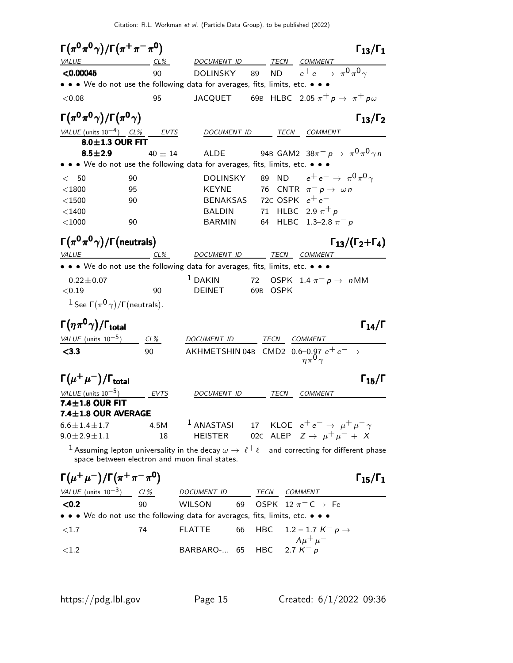| $\Gamma(\pi^0\pi^0\gamma)/\Gamma(\pi^+\pi^-\pi^0)$ |             | $\Gamma_{13}/\Gamma_1$                                                                                                                                        |
|----------------------------------------------------|-------------|---------------------------------------------------------------------------------------------------------------------------------------------------------------|
| <i>VALUE</i>                                       | $CL\%$      | DOCUMENT ID TECN COMMENT                                                                                                                                      |
| < 0.00045                                          | 90          | 89 ND $e^+e^- \to \pi^0 \pi^0 \gamma$<br>DOLINSKY                                                                                                             |
|                                                    |             | • • We do not use the following data for averages, fits, limits, etc. • •                                                                                     |
| < 0.08                                             | 95          | JACQUET 69B HLBC 2.05 $\pi^+ p \to \pi^+ p \omega$                                                                                                            |
| $\Gamma(\pi^0\pi^0\gamma)/\Gamma(\pi^0\gamma)$     |             | $\Gamma_{13}/\Gamma_2$                                                                                                                                        |
| <u>VALUE</u> (units $10^{-4}$ ) CL% EVTS           |             | DOCUMENT ID<br>TECN COMMENT                                                                                                                                   |
| 8.0±1.3 OUR FIT                                    |             |                                                                                                                                                               |
| $8.5 \pm 2.9$                                      | 40 $\pm$ 14 | 94B GAM2 $38\pi^{-} p \to \pi^{0} \pi^{0} \gamma n$<br>ALDE                                                                                                   |
|                                                    |             | $\bullet\,\bullet\,\bullet\,$ We do not use the following data for averages, fits, limits, etc. $\bullet\,\bullet\,$                                          |
| < 50                                               | 90          | 89 ND $e^+e^- \to \pi^0 \pi^0 \gamma$<br>DOLINSKY                                                                                                             |
| $<$ 1800                                           | 95          | 76 CNTR $\pi^- p \to \omega n$<br><b>KEYNE</b>                                                                                                                |
| $<$ 1500                                           | 90          | 72C OSPK $e^+e^-$<br>BENAKSAS                                                                                                                                 |
| $<$ 1400                                           |             | 71 HLBC 2.9 $\pi^{+}p$<br><b>BALDIN</b>                                                                                                                       |
| $<$ 1000                                           | 90          | 64 HLBC 1.3-2.8 $\pi^- p$<br><b>BARMIN</b>                                                                                                                    |
| $\Gamma(\pi^0\pi^0\gamma)/\Gamma$ (neutrals)       |             | $\Gamma_{13}/(\Gamma_2+\Gamma_4)$                                                                                                                             |
| $VALUE$ $CL\%$                                     |             | DOCUMENT ID _______ TECN COMMENT                                                                                                                              |
|                                                    |             | • • • We do not use the following data for averages, fits, limits, etc. • • •                                                                                 |
| $0.22 \pm 0.07$                                    |             | $1$ DAKIN<br>72 OSPK 1.4 $\pi^ p \to n$ MM                                                                                                                    |
| < 0.19                                             | 90          | <b>DEINET</b><br>69B OSPK                                                                                                                                     |
| $1$ See $\Gamma(\pi^0\gamma)/\Gamma$ (neutrals).   |             |                                                                                                                                                               |
| $\Gamma(\eta\pi^0\gamma)/\Gamma_{\rm total}$       |             | $\Gamma_{14}/\Gamma$                                                                                                                                          |
| VALUE (units $10^{-5}$ ) CL%                       |             | DOCUMENT ID<br>TECN<br><b>COMMENT</b>                                                                                                                         |
| < 3.3                                              | 90          | AKHMETSHIN 04B CMD2 0.6–0.97 $e^+e^- \rightarrow \eta \pi^0 \gamma$                                                                                           |
| $\Gamma(\mu^+\mu^-)/\Gamma_{\rm total}$            |             | $\Gamma_{15}/\Gamma$                                                                                                                                          |
| VALUE (units $10^{-5}$ )                           | EVTS        | DOCUMENT ID<br>TECN<br><i>COMMENT</i>                                                                                                                         |
| 7.4±1.8 OUR FIT                                    |             |                                                                                                                                                               |
| $7.4 \pm 1.8$ OUR AVERAGE                          |             |                                                                                                                                                               |
| $6.6 \pm 1.4 \pm 1.7$                              | 4.5M        | $^1$ ANASTASI<br>17 KLOE $e^+e^- \rightarrow \mu^+\mu^-\gamma$                                                                                                |
| $9.0 \pm 2.9 \pm 1.1$                              | 18          | 02c ALEP $Z \rightarrow \mu^+ \mu^- + X$<br>HEISTER                                                                                                           |
|                                                    |             | $^1$ Assuming lepton universality in the decay $\omega \to\ \ell^+\ell^-$ and correcting for different phase<br>space between electron and muon final states. |
| $\Gamma(\mu^+\mu^-)/\Gamma(\pi^+\pi^-\pi^0)$       |             | $\Gamma_{15}/\Gamma_1$                                                                                                                                        |
|                                                    |             |                                                                                                                                                               |

| VALUE (units $10^{-3}$ )                                                                                              | CL% | DOCUMENT ID                 | TECN | COMMENT                                          |
|-----------------------------------------------------------------------------------------------------------------------|-----|-----------------------------|------|--------------------------------------------------|
| < 0.2                                                                                                                 | 90  | WILSON                      |      | 69 OSPK 12 $\pi$ <sup>-</sup> C $\rightarrow$ Fe |
| $\bullet \bullet \bullet$ We do not use the following data for averages, fits, limits, etc. $\bullet \bullet \bullet$ |     |                             |      |                                                  |
| < 1.7                                                                                                                 | 74  | FLATTE                      |      | 66 HBC 1.2 – 1.7 $K^- p \to$                     |
| $\leq 1.2$                                                                                                            |     | BARBARO- 65 HBC 2.7 $K^- p$ |      | $\Lambda \mu^+ \mu^-$                            |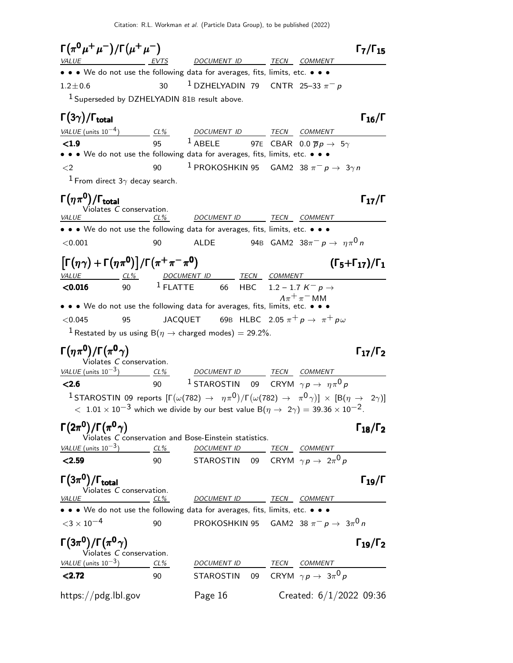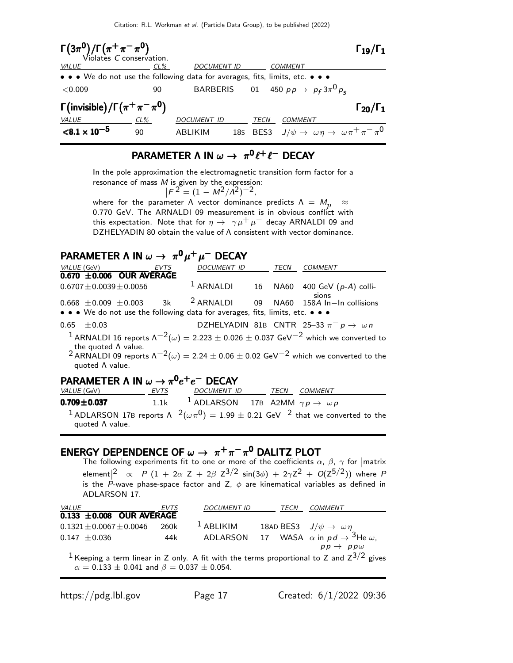

## PARAMETER  $\Lambda$  IN  $\omega \to \pi^0 \ell^+ \ell^-$  DECAY

In the pole approximation the electromagnetic transition form factor for a resonance of mass  $M$  is given by the expression:

 $|F|^2 = (1 - M^2/A^2)^{-2}$ , where for the parameter  $\Lambda$  vector dominance predicts  $\Lambda = M_p \approx$ 0.770 GeV. The ARNALDI 09 measurement is in obvious conflict with this expectation. Note that for  $\eta \to \gamma \mu^+ \mu^-$  decay ARNALDI 09 and

DZHELYADIN 80 obtain the value of Λ consistent with vector dominance.

## PARAMETER Λ IN  $\omega \to \pi^0 \mu^+ \mu^-$  DECAY

|                             | VALUE (GeV) EVTS               | DOCUMENT ID TECN                                                              |  | COMMENT                                                                                                                     |
|-----------------------------|--------------------------------|-------------------------------------------------------------------------------|--|-----------------------------------------------------------------------------------------------------------------------------|
|                             | $0.670 \pm 0.006$ OUR AVERAGE  |                                                                               |  |                                                                                                                             |
|                             | $0.6707 \pm 0.0039 \pm 0.0056$ |                                                                               |  | <sup>1</sup> ARNALDI 16 NA60 400 GeV $(p-A)$ colli-<br>sions                                                                |
|                             |                                |                                                                               |  | $0.668 \pm 0.009 \pm 0.003$ 3k <sup>2</sup> ARNALDI 09 NA60 158A In-In collisions                                           |
|                             |                                | • • • We do not use the following data for averages, fits, limits, etc. • • • |  |                                                                                                                             |
| $0.65 \pm 0.03$             |                                |                                                                               |  | DZHELYADIN 81B CNTR 25-33 $\pi^- p \rightarrow \omega n$                                                                    |
| the quoted $\Lambda$ value. |                                |                                                                               |  | <sup>1</sup> ARNALDI 16 reports $\Lambda^{-2}(\omega) = 2.223 \pm 0.026 \pm 0.037$ GeV <sup>-2</sup> which we converted to  |
| quoted A value.             |                                |                                                                               |  | <sup>2</sup> ARNALDI 09 reports $\Lambda^{-2}(\omega) = 2.24 \pm 0.06 \pm 0.02$ GeV <sup>-2</sup> which we converted to the |
|                             |                                |                                                                               |  |                                                                                                                             |

## PARAMETER Λ IN  $\omega \to \pi^0 e^+e^-$  DECAY

| <i>VALUE</i> (GeV)      | EVTS | <i>DOCUMENT ID</i>                                                  |  | TECN COMMENT                                                                                                              |
|-------------------------|------|---------------------------------------------------------------------|--|---------------------------------------------------------------------------------------------------------------------------|
| $0.709 \pm 0.037$       |      | 1.1k <sup>1</sup> ADLARSON 17B A2MM $\gamma p \rightarrow \omega p$ |  |                                                                                                                           |
| quoted $\Lambda$ value. |      |                                                                     |  | <sup>1</sup> ADLARSON 17B reports $\Lambda^{-2}(\omega \pi^0) = 1.99 \pm 0.21$ GeV <sup>-2</sup> that we converted to the |

## ENERGY DEPENDENCE OF  $\omega \to \pi^+\pi^-\pi^0$  DALITZ PLOT

The following experiments fit to one or more of the coefficients  $\alpha$ ,  $\beta$ ,  $\gamma$  for  $|\text{matrix}\rangle$ element $|^2$   $\propto$   $\,$   $P$   $(1\,+\,2\alpha$   $\,$   $Z\,+\,2\beta$   $\,$   $Z^{3/2}$   $\,$  sin $(3\phi)\,+\,2\gamma Z^2\,+\,$   $O(Z^{5/2}))$  where  $\,$   $P$ is the P-wave phase-space factor and Z,  $\phi$  are kinematical variables as defined in ADLARSON 17.

| <i>VALUE</i>                                                                                             | EVTS | <b>DOCUMENT ID</b> | TECN | COMMENT                                                       |
|----------------------------------------------------------------------------------------------------------|------|--------------------|------|---------------------------------------------------------------|
| $0.133 \pm 0.008$ OUR AVERAGE                                                                            |      |                    |      |                                                               |
| $0.1321 \pm 0.0067 \pm 0.0046$                                                                           | 260k | $1$ ABLIKIM        |      | 18AD BES3 $J/\psi \rightarrow \omega \eta$                    |
| $0.147 \pm 0.036$                                                                                        | 44k  |                    |      | ADLARSON 17 WASA $\alpha$ in $pd \rightarrow 3$ He $\omega$ , |
|                                                                                                          |      |                    |      | $pp \rightarrow pp\omega$                                     |
| <sup>1</sup> Keeping a term linear in Z only. A fit with the terms proportional to Z and $Z^{3/2}$ gives |      |                    |      |                                                               |

 $\alpha = 0.133 \pm 0.041$  and  $\beta = 0.037 \pm 0.054$ .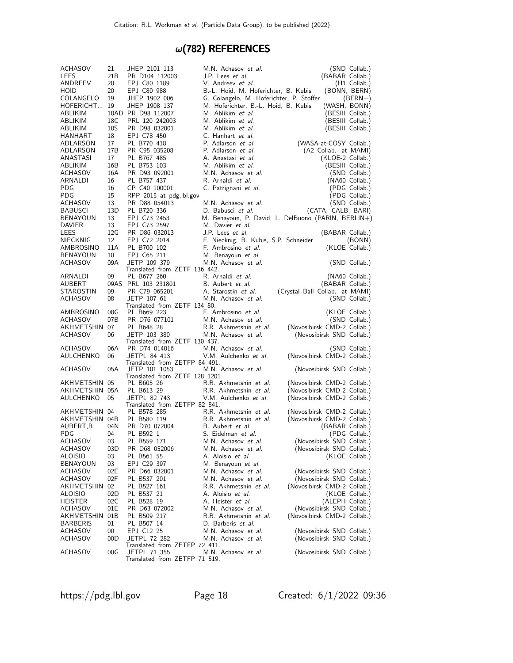# $\omega(782)$  REFERENCES

| <b>ACHASOV</b>            | 21        | JHEP 2101 113                                | M.N. Achasov et al.                                 |                                                        | (SND Collab.)                     |
|---------------------------|-----------|----------------------------------------------|-----------------------------------------------------|--------------------------------------------------------|-----------------------------------|
| LEES                      | 21 B      | PR D104 112003                               | J.P. Lees et al.                                    | (BABAR Collab.)                                        |                                   |
| ANDREEV                   | 20        | EPJ C80 1189                                 | V. Andreev <i>et al.</i>                            |                                                        | $(H1$ Collab.)                    |
| <b>HOID</b>               | 20        | EPJ C80 988                                  | B.-L. Hoid, M. Hoferichter, B. Kubis                |                                                        | (BONN, BERN)                      |
| COLANGELO                 | 19        | JHEP 1902 006                                | G. Colangelo, M. Hoferichter, P. Stoffer            |                                                        | $(BERN+)$                         |
| HOFERICHT                 | 19        | JHEP 1908 137                                | M. Hoferichter, B.-L. Hoid, B. Kubis                | (WASH, BONN)                                           |                                   |
| ABLIKIM                   |           | 18AD PR D98 112007                           | M. Ablikim <i>et al.</i>                            |                                                        | (BESIII Collab.)                  |
| ABLIKIM                   | 18C       | PRL 120 242003                               | M. Ablikim et al.                                   |                                                        | (BESIII Collab.)                  |
| ABLIKIM                   | 18S       | PR D98 032001                                | M. Ablikim et al.                                   |                                                        | (BESIII Collab.)                  |
| HANHART                   | 18        | EPJ C78 450                                  | C. Hanhart et al.                                   |                                                        |                                   |
| ADLARSON                  | 17        | PL B770 418                                  | P. Adlarson et al.                                  | (WASA-at-COSY Collab.)<br>(A2 Collab. at MAMI)         |                                   |
| ADLARSON                  | 17B       | PR C95 035208                                | P. Adlarson et al.                                  |                                                        |                                   |
| ANASTASI<br>ABLIKIM       | 17<br>16B | PL B767 485<br>PL B753 103                   | A. Anastasi et al.<br>M. Ablikim et al.             | (KLOE-2 Collab.)                                       |                                   |
| ACHASOV                   | 16A       | PR D93 092001                                | M.N. Achasov et al.                                 |                                                        | (BESIII Collab.)<br>(SND Collab.) |
| ARNALDI                   | 16        | PL B757 437                                  | R. Arnaldi et al.                                   |                                                        | (NA60 Collab.)                    |
| PDG                       | 16        | CP C40 100001                                | C. Patrignani et al.                                |                                                        | (PDG Collab.)                     |
| PDG                       | 15        | RPP 2015 at pdg.Ibl.gov                      |                                                     |                                                        | (PDG Collab.)                     |
| ACHASOV                   | 13        | PR D88 054013                                | M.N. Achasov et al.                                 |                                                        | (SND Collab.)                     |
| <b>BABUSCI</b>            | 13D       | PL B720 336                                  | D. Babusci et al.                                   | (CATA, CALB, BARI)                                     |                                   |
| <b>BENAYOUN</b>           | 13        | EPJ C73 2453                                 | M. Benayoun, P. David, L. DelBuono (PARIN, BERLIN+) |                                                        |                                   |
| <b>DAVIER</b>             | 13        | EPJ C73 2597                                 | M. Davier et al.                                    |                                                        |                                   |
| LEES                      | 12G       | PR D86 032013                                | J.P. Lees et al.                                    | (BABAR Collab.)                                        |                                   |
| <b>NIECKNIG</b>           | 12        | EPJ C72 2014                                 | F. Niecknig, B. Kubis, S.P. Schneider               |                                                        | (BONN)                            |
| AMBROSINO                 | 11A       | PL B700 102                                  | F. Ambrosino et al.                                 |                                                        | (KLOE Collab.)                    |
| <b>BENAYOUN</b>           | 10        | EPJ C65 211                                  | M. Benayoun et al.                                  |                                                        |                                   |
| <b>ACHASOV</b>            | 09A       | JETP 109 379                                 | M.N. Achasov et al.                                 |                                                        | (SND Collab.)                     |
|                           |           | Translated from ZETF 136 442.                |                                                     |                                                        |                                   |
| ARNALDI                   | 09        | PL B677 260                                  | R. Arnaldi et al.                                   |                                                        | (NA60 Collab.)                    |
| AUBERT                    |           | 09AS PRL 103 231801                          | B. Aubert et al.                                    | (BABAR Collab.)                                        |                                   |
| STAROSTIN                 | 09        | PR C79 065201                                | A. Starostin et al.                                 | (Crystal Ball Collab. at MAMI)                         |                                   |
| <b>ACHASOV</b>            | 08        | JETP 107 61<br>Translated from ZETF 134 80.  | M.N. Achasov et al.                                 |                                                        | (SND Collab.)                     |
| AMBROSINO                 | 08G       | PL B669 223                                  | F. Ambrosino et al.                                 |                                                        | (KLOE Collab.)                    |
| ACHASOV                   | 07B       | PR D76 077101                                | M.N. Achasov et al.                                 |                                                        | (SND Collab.)                     |
| AKHMETSHIN                | 07        | PL B648 28                                   | R.R. Akhmetshin et al.                              | (Novosibirsk CMD-2 Collab.)                            |                                   |
| ACHASOV                   | 06        | JETP 103 380                                 | M.N. Achasov et al.                                 | (Novosibirsk SND Collab.)                              |                                   |
|                           |           | Translated from ZETF 130 437.                |                                                     |                                                        |                                   |
| ACHASOV                   | 06A       | PR D74 014016                                | M.N. Achasov et al.                                 |                                                        | (SND Collab.)                     |
| AULCHENKO                 | 06        | <b>JETPL 84 413</b>                          | V.M. Aulchenko et al.                               | (Novosibirsk CMD-2 Collab.)                            |                                   |
|                           |           | Translated from ZETFP 84 491.                |                                                     |                                                        |                                   |
| ACHASOV                   | 05A       | JETP 101 1053                                | M.N. Achasov et al.                                 | (Novosibirsk SND Collab.)                              |                                   |
| AKHMETSHIN 05             |           | Translated from ZETF 128 1201.<br>PL B605 26 | R.R. Akhmetshin et al.                              | (Novosibirsk CMD-2 Collab.)                            |                                   |
| AKHMETSHIN 05A            |           | PL B613 29                                   | R.R. Akhmetshin et al.                              | (Novosibirsk CMD-2 Collab.)                            |                                   |
| AULCHENKO                 | 05        | <b>JETPL 82 743</b>                          | V.M. Aulchenko et al.                               | (Novosibirsk CMD-2 Collab.)                            |                                   |
|                           |           | Translated from ZETFP 82 841.                |                                                     |                                                        |                                   |
| AKHMETSHIN 04             |           | PL B578 285                                  | R.R. Akhmetshin et al.                              | (Novosibirsk CMD-2 Collab.)                            |                                   |
| AKHMETSHIN 04B            |           | PL B580 119                                  | R.R. Akhmetshin et al.                              | (Novosibirsk CMD-2 Collab.)                            |                                   |
| AUBERT,B                  | 04N       | PR D70 072004                                | B. Aubert et al.                                    | (BABAR Collab.)                                        |                                   |
| <b>PDG</b>                | 04        | PL B592 1                                    | S. Eidelman et al.                                  |                                                        | (PDG Collab.)                     |
| ACHASOV                   | 03        | PL B559 171                                  | M.N. Achasov et al.                                 | (Novosibirsk SND Collab.)                              |                                   |
| ACHASOV                   | 03D       | PR D68 052006                                | M.N. Achasov et al.                                 | (Novosibirsk SND Collab.)                              |                                   |
| ALOISIO                   | 03        | PL B561 55                                   | A. Aloisio et al.                                   |                                                        | (KLOE Collab.)                    |
| BENAYOUN                  | 03        | EPJ C29 397                                  | M. Benayoun et al.                                  |                                                        |                                   |
| ACHASOV                   | 02E       | PR D66 032001                                | M.N. Achasov et al.                                 | (Novosibirsk SND Collab.)                              |                                   |
| ACHASOV                   | 02F       | PL B537 201                                  | M.N. Achasov et al.                                 | (Novosibirsk SND Collab.)                              |                                   |
| AKHMETSHIN                | 02        | PL B527 161                                  | R.R. Akhmetshin et al.                              | (Novosibirsk CMD-2 Collab.)                            |                                   |
| ALOISIO                   | 02D       | PL B537 21                                   | A. Aloisio <i>et al.</i>                            |                                                        | (KLOE Collab.)                    |
| <b>HEISTER</b>            | 02C       | PL B528 19                                   | A. Heister <i>et al.</i>                            | (ALEPH Collab.)                                        |                                   |
| ACHASOV                   | 01E       | PR D63 072002                                | M.N. Achasov et al.                                 | (Novosibirsk SND Collab.)                              |                                   |
| AKHMETSHIN                | 01B       | PL B509 217                                  | R.R. Akhmetshin et al.                              | (Novosibirsk CMD-2 Collab.)                            |                                   |
| <b>BARBERIS</b>           | 01        | PL B507 14<br>EPJ C12 25                     | D. Barberis et al.                                  |                                                        |                                   |
| ACHASOV<br><b>ACHASOV</b> | 00<br>00D | <b>JETPL 72 282</b>                          | M.N. Achasov et al.<br>M.N. Achasov et al.          | (Novosibirsk SND Collab.)<br>(Novosibirsk SND Collab.) |                                   |
|                           |           | Translated from ZETFP 72 411.                |                                                     |                                                        |                                   |
| ACHASOV                   | 00G       | JETPL 71 355                                 | M.N. Achasov et al.                                 | (Novosibirsk SND Collab.)                              |                                   |
|                           |           | Translated from ZETFP 71 519.                |                                                     |                                                        |                                   |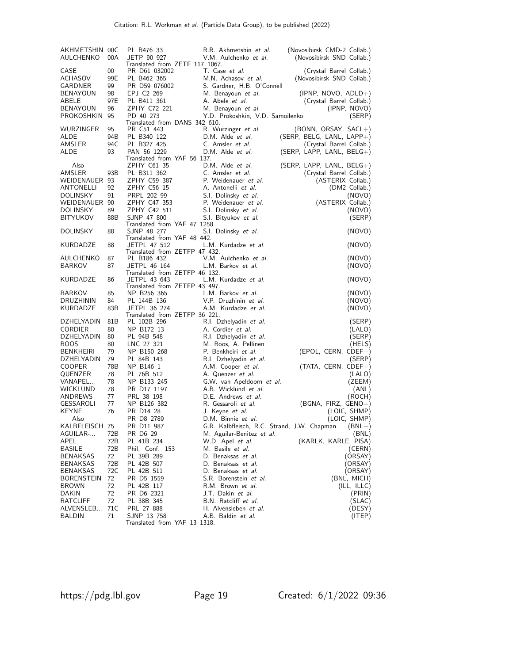| AKHMETSHIN 00C<br>AULCHENKO | 00A             | PL B476 33<br>R.R. Akhmetshin et al.<br>(Novosibirsk CMD-2 Collab.)<br>JETP 90 927<br>V.M. Aulchenko et al.<br>(Novosibirsk SND Collab.)                                                                        |  |
|-----------------------------|-----------------|-----------------------------------------------------------------------------------------------------------------------------------------------------------------------------------------------------------------|--|
| CASE<br>ACHASOV<br>GARDNER  | 00<br>99E<br>99 | Translated from ZETF 117 1067.<br>T. Case et al.<br>PR D61 032002<br>(Crystal Barrel Collab.)<br>PL B462 365<br>M.N. Achasov et al.<br>(Novosibirsk SND Collab.)<br>S. Gardner, H.B. O'Connell<br>PR D59 076002 |  |
| <b>BENAYOUN</b>             | 98              | EPJ C2 269<br>M. Benayoun et al.<br>$(IPNP, NOVO, ADLD+)$                                                                                                                                                       |  |
| ABELE<br><b>BENAYOUN</b>    | 97E<br>96       | PL B411 361<br>A. Abele et al.<br>(Crystal Barrel Collab.)<br>ZPHY C72 221<br>M. Benayoun et al.                                                                                                                |  |
| PROKOSHKIN                  | 95              | (IPNP, NOVO)<br>PD 40 273<br>Y.D. Prokoshkin, V.D. Samoilenko<br>(SERP)<br>Translated from DANS 342 610.                                                                                                        |  |
| WURZINGER                   | 95              | PR C51 443<br>R. Wurzinger et al.<br>(BONN, ORSAY, SACL+)                                                                                                                                                       |  |
| ALDE<br>AMSLER              | 94B<br>94C      | PL B340 122<br>D.M. Alde <i>et al.</i><br>$(SERP, BELG, LANL, LAP+)$<br>PL B327 425<br>C. Amsler et al.<br>(Crystal Barrel Collab.)                                                                             |  |
| ALDE                        | 93              | PAN 56 1229<br>D.M. Alde et al.<br>$(SERP, LAP, LANL, BELG+)$                                                                                                                                                   |  |
|                             |                 | Translated from YAF 56 137.                                                                                                                                                                                     |  |
| Also<br>AMSLER              | 93B             | ZPHY C61 35<br>D.M. Alde <i>et al.</i><br>$(SERP, LAP, LANL, BELG+)$<br>C. Amsler et al.<br>PL B311 362<br>(Crystal Barrel Collab.)                                                                             |  |
| WEIDENAUER 93               |                 | P. Weidenauer et al.<br>ZPHY C59 387<br>(ASTERIX Collab.)                                                                                                                                                       |  |
| ANTONELLI                   | 92              | ZPHY C56 15<br>A. Antonelli et al.<br>(DM2 Collab.)                                                                                                                                                             |  |
| <b>DOLINSKY</b>             | 91              | PRPL 202 99<br>S.I. Dolinsky et al.<br>(NOVO)                                                                                                                                                                   |  |
| WEIDENAUER 90               |                 | ZPHY C47 353<br>(ASTERIX Collab.)<br>P. Weidenauer et al.                                                                                                                                                       |  |
| <b>DOLINSKY</b>             | 89              | ZPHY C42 511<br>S.I. Dolinsky et al.<br>(NOVO)                                                                                                                                                                  |  |
| <b>BITYUKOV</b>             | 88B             | SJNP 47 800<br>(SERP)<br>S.I. Bityukov et al.                                                                                                                                                                   |  |
| <b>DOLINSKY</b>             | 88              | Translated from YAF 47 1258.<br>SJNP 48 277<br>S.I. Dolinsky et al.<br>(NOVO)                                                                                                                                   |  |
|                             |                 | Translated from YAF 48 442.                                                                                                                                                                                     |  |
| <b>KURDADZE</b>             | 88              | JETPL 47 512<br>L.M. Kurdadze et al.<br>(NOVO)<br>Translated from ZETFP 47 432.                                                                                                                                 |  |
| AULCHENKO                   | 87              | V.M. Aulchenko et al.<br>PL B186 432<br>(NOVO)                                                                                                                                                                  |  |
| <b>BARKOV</b>               | 87              | <b>JETPL 46 164</b><br>L.M. Barkov et al.<br>(NOVO)                                                                                                                                                             |  |
|                             |                 | Translated from ZETFP 46 132.                                                                                                                                                                                   |  |
| KURDADZE                    | 86              | L.M. Kurdadze et al.<br>JETPL 43 643<br>(NOVO)<br>Translated from ZETFP 43 497.                                                                                                                                 |  |
| <b>BARKOV</b>               | 85              | NP B256 365<br>L.M. Barkov et al.<br>(NOVO)                                                                                                                                                                     |  |
| DRUZHININ                   | 84              | V.P. Druzhinin et al.<br>PL 144B 136<br>(NOVO)                                                                                                                                                                  |  |
| KURDADZE                    | 83B             | JETPL 36 274<br>A.M. Kurdadze et al.<br>(NOVO)                                                                                                                                                                  |  |
| DZHELYADIN                  |                 | Translated from ZETFP 36 221.                                                                                                                                                                                   |  |
| <b>CORDIER</b>              | 81 B<br>80      | PL 102B 296<br>R.I. Dzhelyadin et al.<br>(SERP)<br>NP B172 13<br>A. Cordier et al.<br>(LALO)                                                                                                                    |  |
| DZHELYADIN                  | 80              | PL 94B 548<br>R.I. Dzhelyadin et al.<br>(SERP)                                                                                                                                                                  |  |
| ROOS                        | 80              | M. Roos, A. Pellinen<br>LNC 27 321<br>(HELS)                                                                                                                                                                    |  |
| <b>BENKHEIRI</b>            | 79              | NP B150 268<br>P. Benkheiri et al.<br>(EPOL, CERN, CDEF+)                                                                                                                                                       |  |
| DZHELYADIN                  | 79              | PL 84B 143<br>R.I. Dzhelyadin et al.<br>(SERP)                                                                                                                                                                  |  |
| <b>COOPER</b>               | 78B             | NP B146 1<br>A.M. Cooper et al.<br>$(TATA, CERN, CDEF+)$                                                                                                                                                        |  |
| QUENZER                     | 78              | PL 76B 512<br>A. Quenzer et al.<br>(LALO)                                                                                                                                                                       |  |
| VANAPEL<br><b>WICKLUND</b>  | 78<br>78        | NP B133 245<br>G.W. van Apeldoorn et al.<br>(ZEEM)<br>PR D17 1197<br>A.B. Wicklund et al.<br>(ANL)                                                                                                              |  |
| ANDREWS                     | 77              | PRL 38 198<br>D.E. Andrews et al.<br>(ROCH)                                                                                                                                                                     |  |
| GESSAROLI                   | 77              | NP B126 382<br>R. Gessaroli et al.<br>$(BGNA, FIRZ, GENO+)$                                                                                                                                                     |  |
| <b>KEYNE</b>                | 76              | PR D14 28<br>J. Keyne <i>et al.</i><br>(LOIC, SHMP)                                                                                                                                                             |  |
| Also                        |                 | (LOIC, SHMP)<br>PR D8 2789<br>D.M. Binnie et al.                                                                                                                                                                |  |
| KALBFLEISCH 75              |                 | PR D11 987<br>G.R. Kalbfleisch, R.C. Strand, J.W. Chapman<br>$(BNL+)$                                                                                                                                           |  |
| AGUILAR-                    | 72B             | PR D6 29<br>M. Aguilar-Benitez et al.<br>(BNL)                                                                                                                                                                  |  |
| APEL<br><b>BASILE</b>       | 72B             | (KARLK, KARLE, PISA)<br>PL 41B 234<br>W.D. Apel et al.                                                                                                                                                          |  |
| BENAKSAS                    | 72B<br>72       | Phil. Conf. 153<br>M. Basile <i>et al.</i><br>(CERN)<br>(ORSAY)<br>PL 39B 289<br>D. Benaksas <i>et al.</i>                                                                                                      |  |
| BENAKSAS                    | 72B             | PL 42B 507<br>D. Benaksas et al.<br>(ORSAY)                                                                                                                                                                     |  |
| BENAKSAS                    | 72C             | PL 42B 511<br>D. Benaksas et al.<br>(ORSAY)                                                                                                                                                                     |  |
| <b>BORENSTEIN</b>           | 72              | PR D5 1559<br>S.R. Borenstein et al.<br>(BNL, MICH)                                                                                                                                                             |  |
| <b>BROWN</b>                | 72              | PL 42B 117<br>R.M. Brown et al.<br>(ILL, ILLC)                                                                                                                                                                  |  |
| <b>DAKIN</b>                | 72              | PR D6 2321<br>J.T. Dakin et al.<br>(PRIN)                                                                                                                                                                       |  |
| RATCLIFF                    | 72              | PL 38B 345<br>B.N. Ratcliff et al.<br>(SLAC)                                                                                                                                                                    |  |
| ALVENSLEB<br>BALDIN         | 71C<br>71       | PRL 27 888<br>H. Alvensleben et al.<br>(DESY)<br>SJNP 13 758<br>A.B. Baldin et al.<br>(ITEP)                                                                                                                    |  |
|                             |                 | Translated from YAF 13 1318.                                                                                                                                                                                    |  |